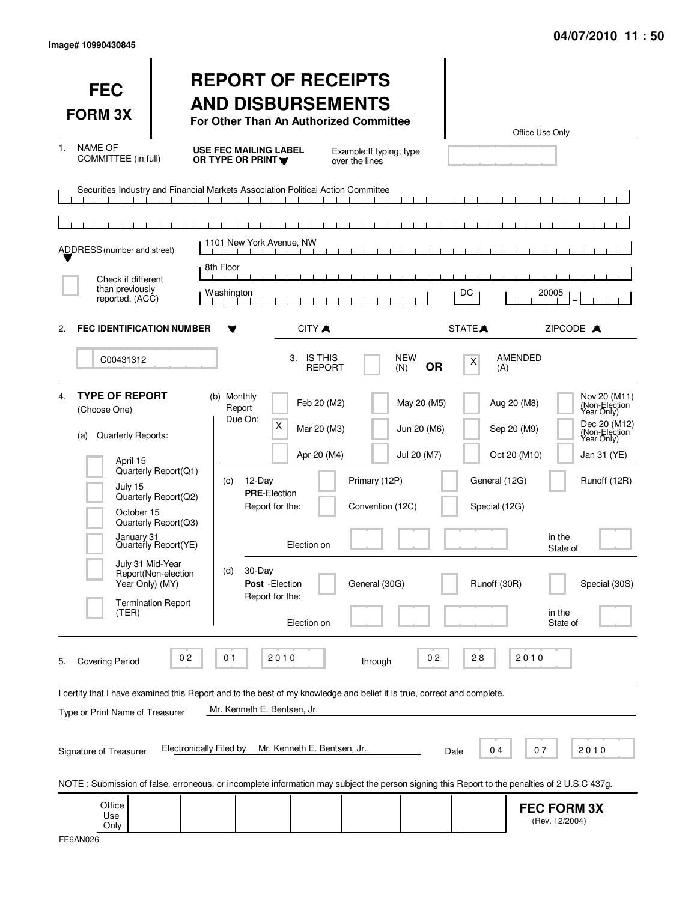| <b>FEC</b><br><b>FORM 3X</b>                                                                                                                                                                                        |                                                                                                                     | <b>REPORT OF RECEIPTS</b><br><b>AND DISBURSEMENTS</b><br>For Other Than An Authorized Committee                                                                                                                                    |                                                    |                                           |                                                                              | Office Use Only                                                                                                                                                                                         |
|---------------------------------------------------------------------------------------------------------------------------------------------------------------------------------------------------------------------|---------------------------------------------------------------------------------------------------------------------|------------------------------------------------------------------------------------------------------------------------------------------------------------------------------------------------------------------------------------|----------------------------------------------------|-------------------------------------------|------------------------------------------------------------------------------|---------------------------------------------------------------------------------------------------------------------------------------------------------------------------------------------------------|
| <b>NAME OF</b><br>1.<br>COMMITTEE (in full)                                                                                                                                                                         |                                                                                                                     | <b>USE FEC MAILING LABEL</b><br>OR TYPE OR PRINT Y                                                                                                                                                                                 | Example: If typing, type<br>over the lines         |                                           |                                                                              |                                                                                                                                                                                                         |
| ADDRESS (number and street)<br>Check if different                                                                                                                                                                   | 8th Floor                                                                                                           | Securities Industry and Financial Markets Association Political Action Committee<br>1101 New York Avenue, NW                                                                                                                       | $\Box$                                             |                                           |                                                                              |                                                                                                                                                                                                         |
| than previously<br>reported. (ACC)                                                                                                                                                                                  |                                                                                                                     | Washington                                                                                                                                                                                                                         |                                                    |                                           | DC                                                                           | 20005                                                                                                                                                                                                   |
| <b>FEC IDENTIFICATION NUMBER</b><br>2.                                                                                                                                                                              |                                                                                                                     | CITY A                                                                                                                                                                                                                             |                                                    |                                           | STATE <sup></sup>                                                            | ZIPCODE A                                                                                                                                                                                               |
| C00431312                                                                                                                                                                                                           |                                                                                                                     | <b>IS THIS</b><br>3.                                                                                                                                                                                                               | <b>REPORT</b>                                      | <b>NEW</b><br><b>OR</b><br>(N)            | $\boldsymbol{\mathsf{X}}$<br>(A)                                             | <b>AMENDED</b>                                                                                                                                                                                          |
| <b>TYPE OF REPORT</b><br>4.<br>(Choose One)<br>Quarterly Reports:<br>(a)<br>April 15<br>July 15<br>October 15<br>January <sub>31</sub><br>July 31 Mid-Year<br>Year Only) (MY)<br><b>Termination Report</b><br>(TER) | Quarterly Report(Q1)<br>Quarterly Report(Q2)<br>Quarterly Report(Q3)<br>Quarterly Report(YE)<br>Report(Non-election | (b) Monthly<br>Feb 20 (M2)<br>Report<br>Due On:<br>X<br>Mar 20 (M3)<br>Apr 20 (M4)<br>12-Day<br>(C)<br><b>PRE-Election</b><br>Report for the:<br>Election on<br>30-Day<br>(d)<br>Post - Election<br>Report for the:<br>Election on | Primary (12P)<br>Convention (12C)<br>General (30G) | May 20 (M5)<br>Jun 20 (M6)<br>Jul 20 (M7) | Aug 20 (M8)<br>Sep 20 (M9)<br>General (12G)<br>Special (12G)<br>Runoff (30R) | Nov 20 (M11)<br>(Non-Election<br>Year Only)<br>Dec 20 (M12)<br>(Non-Election)<br>Year Only)<br>Oct 20 (M10)<br>Jan 31 (YE)<br>Runoff (12R)<br>in the<br>State of<br>Special (30S)<br>in the<br>State of |
| <b>Covering Period</b><br>5.<br>Type or Print Name of Treasurer<br>Signature of Treasurer                                                                                                                           | 0 <sub>2</sub><br><b>Electronically Filed by</b>                                                                    | 0 <sub>1</sub><br>2010<br>I certify that I have examined this Report and to the best of my knowledge and belief it is true, correct and complete.<br>Mr. Kenneth E. Bentsen, Jr.<br>Mr. Kenneth E. Bentsen, Jr.                    | through                                            | 0 <sub>2</sub>                            | 28<br>04<br>Date                                                             | 2010<br>07<br>2010<br>NOTE: Submission of false, erroneous, or incomplete information may subject the person signing this Report to the penalties of 2 U.S.C 437g.                                      |
| Office<br>Use<br>Only                                                                                                                                                                                               |                                                                                                                     |                                                                                                                                                                                                                                    |                                                    |                                           |                                                                              | <b>FEC FORM 3X</b><br>(Rev. 12/2004)                                                                                                                                                                    |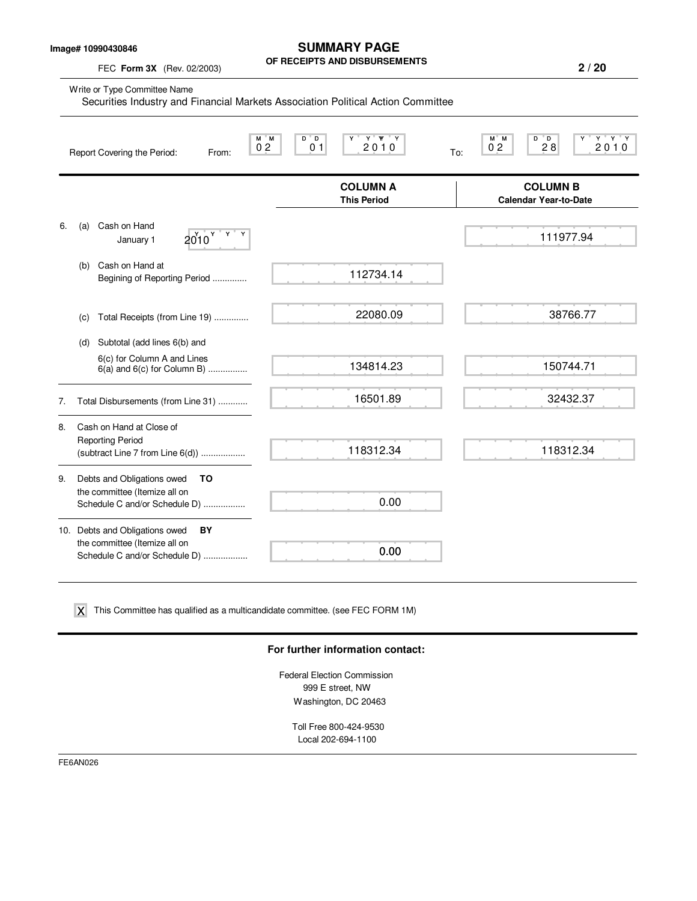**Image# 10990430846**

**SUMMARY PAGE OF RECEIPTS AND DISBURSEMENTS**

FEC **Form 3X** (Rev. 02/2003)

|    | Write or Type Committee Name<br>Securities Industry and Financial Markets Association Political Action Committee |                                                     |                                                                             |  |  |  |  |  |  |
|----|------------------------------------------------------------------------------------------------------------------|-----------------------------------------------------|-----------------------------------------------------------------------------|--|--|--|--|--|--|
|    | M M<br>0 <sub>2</sub><br>Report Covering the Period:<br>From:                                                    | $Y'$ $Y'$ $Y$<br>D D<br>Y<br>2010<br>0 <sub>1</sub> | $D^{\bullet}D$<br>$Y$ $Y$ $Y$<br>M M<br>0 <sub>2</sub><br>2010<br>28<br>To: |  |  |  |  |  |  |
|    |                                                                                                                  | <b>COLUMN A</b><br><b>This Period</b>               | <b>COLUMN B</b><br><b>Calendar Year-to-Date</b>                             |  |  |  |  |  |  |
| 6. | Cash on Hand<br>(a)<br>$2010$ $\frac{y}{x}$ $\frac{y}{x}$<br>January 1                                           |                                                     | 111977.94                                                                   |  |  |  |  |  |  |
|    | Cash on Hand at<br>(b)<br>Begining of Reporting Period                                                           | 112734.14                                           |                                                                             |  |  |  |  |  |  |
|    | Total Receipts (from Line 19)<br>(c)                                                                             | 22080.09                                            | 38766.77                                                                    |  |  |  |  |  |  |
|    | Subtotal (add lines 6(b) and<br>(d)                                                                              |                                                     |                                                                             |  |  |  |  |  |  |
|    | 6(c) for Column A and Lines<br>$6(a)$ and $6(c)$ for Column B)                                                   | 134814.23                                           | 150744.71                                                                   |  |  |  |  |  |  |
| 7. | Total Disbursements (from Line 31)                                                                               | 16501.89                                            | 32432.37                                                                    |  |  |  |  |  |  |
| 8. | Cash on Hand at Close of<br><b>Reporting Period</b><br>(subtract Line 7 from Line 6(d))                          | 118312.34                                           | 118312.34                                                                   |  |  |  |  |  |  |
| 9. | Debts and Obligations owed<br>TO                                                                                 |                                                     |                                                                             |  |  |  |  |  |  |
|    | the committee (Itemize all on<br>Schedule C and/or Schedule D)                                                   | 0.00                                                |                                                                             |  |  |  |  |  |  |
|    | 10. Debts and Obligations owed<br>BY                                                                             |                                                     |                                                                             |  |  |  |  |  |  |
|    | the committee (Itemize all on<br>Schedule C and/or Schedule D)                                                   | 0.00                                                |                                                                             |  |  |  |  |  |  |

 $\boldsymbol{\mathsf{X}}$  This Committee has qualified as a multicandidate committee. (see FEC FORM 1M)

#### **For further information contact:**

Federal Election Commission 999 E street, NW Washington, DC 20463

Toll Free 800-424-9530 Local 202-694-1100

FE6AN026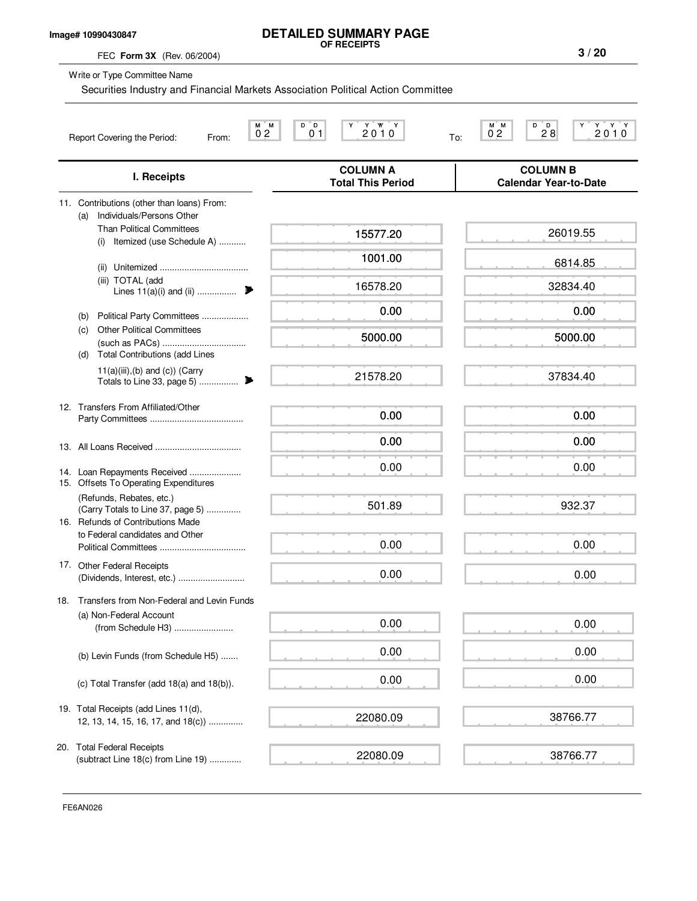### **Image# 10990430847**

# **DETAILED SUMMARY PAGE OF RECEIPTS**

FEC **Form 3X** (Rev. 06/2004)

Write or Type Committee Name

Securities Industry and Financial Markets Association Political Action Committee

|     | М<br>Report Covering the Period:<br>From:                                                          | D<br>ΪD.<br>Y W<br>M<br>Y<br>Ϋ́<br>2010<br>0 <sub>2</sub><br>01<br>To: | M M<br>D<br>ΓD.<br>Y Y<br>2010<br>28<br>02      |
|-----|----------------------------------------------------------------------------------------------------|------------------------------------------------------------------------|-------------------------------------------------|
|     | I. Receipts                                                                                        | <b>COLUMN A</b><br><b>Total This Period</b>                            | <b>COLUMN B</b><br><b>Calendar Year-to-Date</b> |
|     | 11. Contributions (other than loans) From:<br>Individuals/Persons Other<br>(a)                     |                                                                        |                                                 |
|     | <b>Than Political Committees</b><br>Itemized (use Schedule A)<br>(i)                               | 15577.20                                                               | 26019.55                                        |
|     |                                                                                                    | 1001.00                                                                | 6814.85                                         |
|     | (iii) TOTAL (add                                                                                   | 16578.20                                                               | 32834.40                                        |
|     | Political Party Committees<br>(b)                                                                  | 0.00                                                                   | 0.00                                            |
|     | <b>Other Political Committees</b><br>(c)<br><b>Total Contributions (add Lines</b><br>(d)           | 5000.00                                                                | 5000.00                                         |
|     | $11(a)(iii),(b)$ and $(c)$ ) (Carry<br>Totals to Line 33, page 5)<br>₱                             | 21578.20                                                               | 37834.40                                        |
|     | 12. Transfers From Affiliated/Other                                                                | 0.00                                                                   | 0.00                                            |
|     |                                                                                                    | 0.00                                                                   | 0.00                                            |
|     | 14. Loan Repayments Received<br>15. Offsets To Operating Expenditures                              | 0.00                                                                   | 0.00                                            |
|     | (Refunds, Rebates, etc.)<br>(Carry Totals to Line 37, page 5)<br>16. Refunds of Contributions Made | 501.89                                                                 | 932.37                                          |
|     | to Federal candidates and Other                                                                    | 0.00                                                                   | 0.00                                            |
|     | 17. Other Federal Receipts                                                                         | 0.00                                                                   | 0.00                                            |
| 18. | Transfers from Non-Federal and Levin Funds                                                         |                                                                        |                                                 |
|     | (a) Non-Federal Account<br>(from Schedule H3)                                                      | 0.00                                                                   | 0.00                                            |
|     | (b) Levin Funds (from Schedule H5)                                                                 | 0.00                                                                   | 0.00                                            |
|     | (c) Total Transfer (add 18(a) and 18(b)).                                                          | 0.00                                                                   | 0.00                                            |
|     | 19. Total Receipts (add Lines 11(d),<br>12, 13, 14, 15, 16, 17, and 18(c))                         | 22080.09                                                               | 38766.77                                        |
|     | 20. Total Federal Receipts<br>(subtract Line 18(c) from Line 19)                                   | 22080.09                                                               | 38766.77                                        |

FE6AN026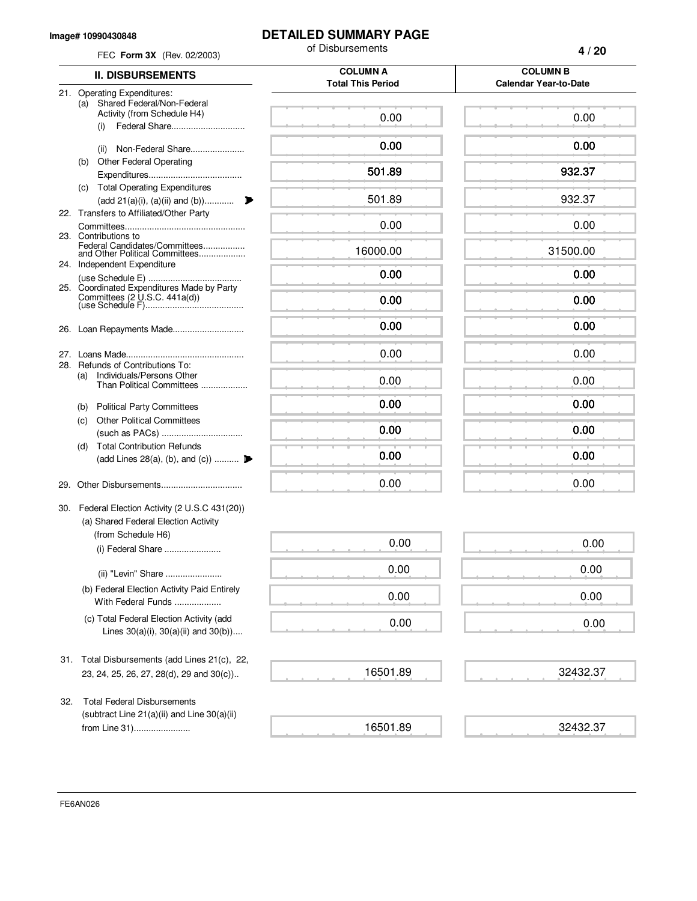#### **Image# 10990430848**

## **DETAILED SUMMARY PAGE**

|     | FEC Form 3X (Rev. 02/2003)                                                                        | of Disbursements                            | 4/20                                            |
|-----|---------------------------------------------------------------------------------------------------|---------------------------------------------|-------------------------------------------------|
|     | <b>II. DISBURSEMENTS</b>                                                                          | <b>COLUMN A</b><br><b>Total This Period</b> | <b>COLUMN B</b><br><b>Calendar Year-to-Date</b> |
|     | 21. Operating Expenditures:                                                                       |                                             |                                                 |
|     | Shared Federal/Non-Federal<br>(a)<br>Activity (from Schedule H4)<br>(i)                           | 0.00                                        | 0.00                                            |
|     | Non-Federal Share<br>(ii)                                                                         | 0.00                                        | 0.00                                            |
|     | <b>Other Federal Operating</b><br>(b)                                                             |                                             |                                                 |
|     |                                                                                                   | 501.89                                      | 932.37                                          |
|     | (c) Total Operating Expenditures<br>(add 21(a)(i), (a)(ii) and (b))                               | 501.89                                      | 932.37                                          |
|     | 22. Transfers to Affiliated/Other Party                                                           |                                             |                                                 |
|     | 23. Contributions to                                                                              | 0.00                                        | 0.00                                            |
|     | Federal Candidates/Committees<br>and Other Political Committees                                   | 16000.00                                    | 31500.00                                        |
|     | 24. Independent Expenditure                                                                       | 0.00                                        | 0.00                                            |
|     | 25. Coordinated Expenditures Made by Party                                                        |                                             |                                                 |
|     |                                                                                                   | 0.00                                        | 0.00                                            |
|     | 26. Loan Repayments Made                                                                          | 0.00                                        | 0.00                                            |
|     |                                                                                                   | 0.00                                        | 0.00                                            |
|     | 28. Refunds of Contributions To:<br>Individuals/Persons Other<br>(a)<br>Than Political Committees | 0.00                                        | 0.00                                            |
|     | <b>Political Party Committees</b><br>(b)                                                          | 0.00                                        | 0.00                                            |
|     | <b>Other Political Committees</b><br>(C)                                                          |                                             |                                                 |
|     | <b>Total Contribution Refunds</b>                                                                 | 0.00                                        | 0.00                                            |
|     | (d)<br>(add Lines 28(a), (b), and (c))                                                            | 0.00                                        | 0.00                                            |
| 29. |                                                                                                   | 0.00                                        | 0.00                                            |
|     | 30. Federal Election Activity (2 U.S.C 431(20))<br>(a) Shared Federal Election Activity           |                                             |                                                 |
|     | (from Schedule H6)<br>(i) Federal Share                                                           | 0.00                                        | 0.00                                            |
|     | (ii) "Levin" Share                                                                                | 0.00                                        | 0.00                                            |
|     | (b) Federal Election Activity Paid Entirely<br>With Federal Funds                                 | 0.00                                        | 0.00                                            |
|     | (c) Total Federal Election Activity (add<br>Lines $30(a)(i)$ , $30(a)(ii)$ and $30(b)$ )          | 0.00                                        | 0.00                                            |
| 31. | Total Disbursements (add Lines 21(c), 22,<br>23, 24, 25, 26, 27, 28(d), 29 and 30(c))             | 16501.89                                    | 32432.37                                        |
|     |                                                                                                   |                                             |                                                 |
| 32. | <b>Total Federal Disbursements</b>                                                                |                                             |                                                 |
|     | (subtract Line $21(a)(ii)$ and Line $30(a)(ii)$<br>from Line 31)                                  | 16501.89                                    | 32432.37                                        |
|     |                                                                                                   |                                             |                                                 |

FE6AN026

a a

 $\equiv$ 

 $\leftarrow$ 

 $\leftarrow$ 

 $\equiv$ 

 $\equiv$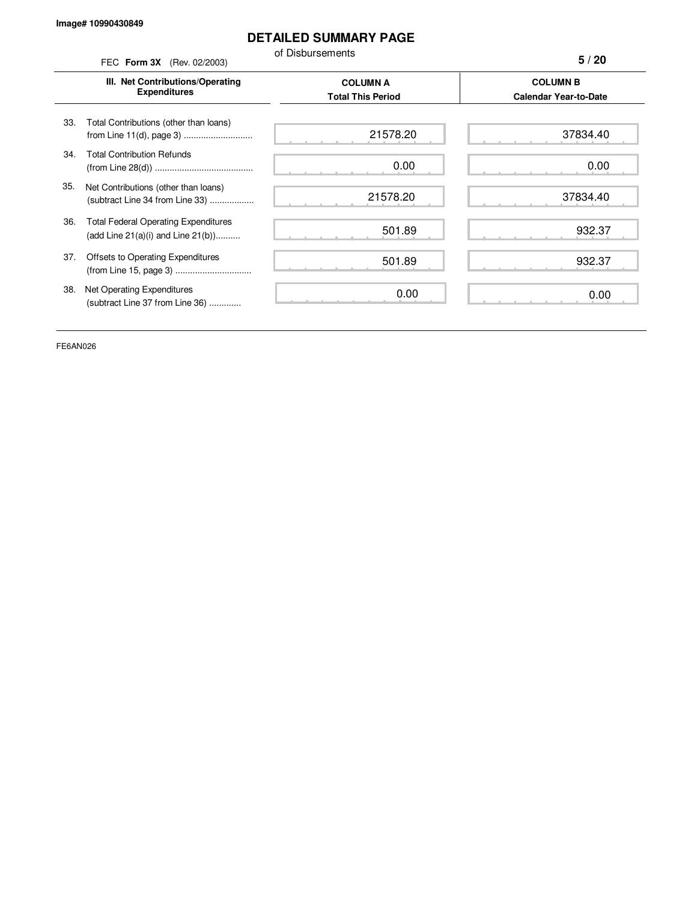l,

## **DETAILED SUMMARY PAGE**

of Disbursements FEC **Form 3X** (Rev. 02/2003)

**5 / 20**

|     | III. Net Contributions/Operating<br><b>Expenditures</b>                                | <b>COLUMN A</b><br><b>Total This Period</b> | <b>COLUMN B</b><br><b>Calendar Year-to-Date</b> |
|-----|----------------------------------------------------------------------------------------|---------------------------------------------|-------------------------------------------------|
| 33. | Total Contributions (other than loans)                                                 | 21578.20                                    | 37834.40                                        |
| 34. | <b>Total Contribution Refunds</b>                                                      | 0.00                                        | 0.00                                            |
| 35. | Net Contributions (other than loans)<br>(subtract Line 34 from Line 33)                | 21578.20                                    | 37834.40                                        |
| 36. | <b>Total Federal Operating Expenditures</b><br>(add Line $21(a)(i)$ and Line $21(b)$ ) | 501.89                                      | 932.37                                          |
| 37. | Offsets to Operating Expenditures<br>(from Line 15, page 3)                            | 501.89                                      | 932.37                                          |
| 38. | Net Operating Expenditures<br>(subtract Line 37 from Line 36)                          | 0.00                                        | 0.00                                            |

FE6AN026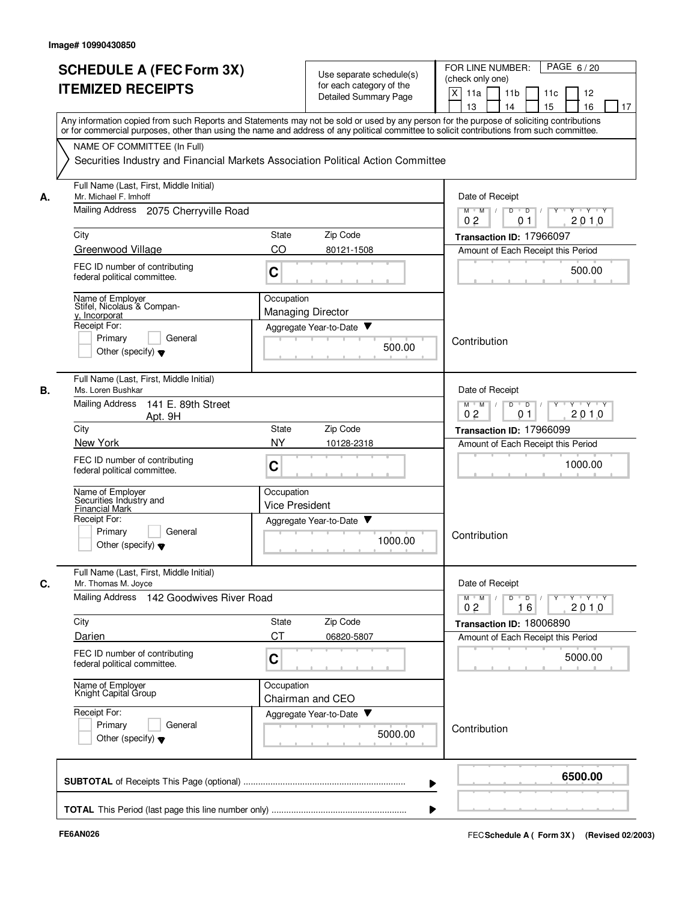|    | <b>SCHEDULE A (FEC Form 3X)</b><br><b>ITEMIZED RECEIPTS</b>                                                                                                                                                                                                                                                            | Use separate schedule(s)<br>for each category of the<br><b>Detailed Summary Page</b> | PAGE 6/20<br>FOR LINE NUMBER:<br>(check only one)<br>X<br>11a<br>11 <sub>b</sub><br>11c<br>12<br>15<br>13<br>14<br>16<br>17              |  |  |  |
|----|------------------------------------------------------------------------------------------------------------------------------------------------------------------------------------------------------------------------------------------------------------------------------------------------------------------------|--------------------------------------------------------------------------------------|------------------------------------------------------------------------------------------------------------------------------------------|--|--|--|
|    | Any information copied from such Reports and Statements may not be sold or used by any person for the purpose of soliciting contributions<br>or for commercial purposes, other than using the name and address of any political committee to solicit contributions from such committee.<br>NAME OF COMMITTEE (In Full) |                                                                                      |                                                                                                                                          |  |  |  |
|    |                                                                                                                                                                                                                                                                                                                        | Securities Industry and Financial Markets Association Political Action Committee     |                                                                                                                                          |  |  |  |
| А. | Full Name (Last, First, Middle Initial)<br>Mr. Michael F. Imhoff                                                                                                                                                                                                                                                       |                                                                                      | Date of Receipt                                                                                                                          |  |  |  |
|    | Mailing Address 2075 Cherryville Road                                                                                                                                                                                                                                                                                  |                                                                                      | $M$ $M$ /<br>$\overline{\mathsf{D}}$<br>$\overline{D}$ /<br>Y<br>$Y \cup Y \cup Y$<br>2010<br>0 <sub>2</sub><br>01                       |  |  |  |
|    | City                                                                                                                                                                                                                                                                                                                   | Zip Code<br><b>State</b>                                                             | Transaction ID: 17966097                                                                                                                 |  |  |  |
|    | Greenwood Village                                                                                                                                                                                                                                                                                                      | CO<br>80121-1508                                                                     | Amount of Each Receipt this Period                                                                                                       |  |  |  |
|    | FEC ID number of contributing<br>federal political committee.                                                                                                                                                                                                                                                          | C                                                                                    | 500.00                                                                                                                                   |  |  |  |
|    | Name of Employer<br>Stifel, Nicolaus & Compan-<br>y, Incorporat                                                                                                                                                                                                                                                        | Occupation<br><b>Managing Director</b>                                               |                                                                                                                                          |  |  |  |
|    | Receipt For:                                                                                                                                                                                                                                                                                                           | Aggregate Year-to-Date                                                               |                                                                                                                                          |  |  |  |
|    | General<br>Primary<br>Other (specify) $\blacktriangledown$                                                                                                                                                                                                                                                             | 500.00                                                                               | Contribution                                                                                                                             |  |  |  |
| В. | Full Name (Last, First, Middle Initial)<br>Ms. Loren Bushkar                                                                                                                                                                                                                                                           |                                                                                      | Date of Receipt                                                                                                                          |  |  |  |
|    | <b>Mailing Address</b><br>141 E. 89th Street<br>Apt. 9H                                                                                                                                                                                                                                                                |                                                                                      | $Y - Y - Y$<br>$M$ $M$<br>D<br>$\overline{D}$<br>0 <sub>2</sub><br>2010<br>01                                                            |  |  |  |
|    | City                                                                                                                                                                                                                                                                                                                   | Zip Code<br>State                                                                    | Transaction ID: 17966099                                                                                                                 |  |  |  |
|    | New York<br>FEC ID number of contributing<br>federal political committee.                                                                                                                                                                                                                                              | <b>NY</b><br>10128-2318<br>C                                                         | Amount of Each Receipt this Period<br>1000.00                                                                                            |  |  |  |
|    | Name of Employer<br>Securities Industry and<br><b>Financial Mark</b>                                                                                                                                                                                                                                                   | Occupation<br><b>Vice President</b>                                                  |                                                                                                                                          |  |  |  |
|    | Receipt For:<br>Primary<br>General<br>Other (specify) $\blacktriangledown$                                                                                                                                                                                                                                             | Aggregate Year-to-Date<br>1000.00                                                    | Contribution                                                                                                                             |  |  |  |
| C. | Full Name (Last, First, Middle Initial)<br>Mr. Thomas M. Joyce                                                                                                                                                                                                                                                         |                                                                                      | Date of Receipt                                                                                                                          |  |  |  |
|    | Mailing Address 142 Goodwives River Road                                                                                                                                                                                                                                                                               |                                                                                      | $\mathsf{Y} \dashv \mathsf{Y} \dashv \mathsf{Y}$<br>D<br>$\blacksquare$<br>$Y$ <sup>U</sup><br>$M$ $M$ /<br>0 <sub>2</sub><br>2010<br>16 |  |  |  |
|    | City                                                                                                                                                                                                                                                                                                                   | Zip Code<br>State                                                                    | Transaction ID: 18006890                                                                                                                 |  |  |  |
|    | Darien                                                                                                                                                                                                                                                                                                                 | <b>CT</b><br>06820-5807                                                              | Amount of Each Receipt this Period                                                                                                       |  |  |  |
|    | FEC ID number of contributing<br>federal political committee.                                                                                                                                                                                                                                                          | C                                                                                    | 5000.00                                                                                                                                  |  |  |  |
|    | Name of Employer<br>Knight Capital Group                                                                                                                                                                                                                                                                               | Occupation<br>Chairman and CEO                                                       |                                                                                                                                          |  |  |  |
|    | Receipt For:<br>Primary<br>General<br>Other (specify) $\blacktriangledown$                                                                                                                                                                                                                                             | Aggregate Year-to-Date<br>5000.00                                                    | Contribution                                                                                                                             |  |  |  |
|    |                                                                                                                                                                                                                                                                                                                        |                                                                                      | 6500.00                                                                                                                                  |  |  |  |
|    |                                                                                                                                                                                                                                                                                                                        |                                                                                      |                                                                                                                                          |  |  |  |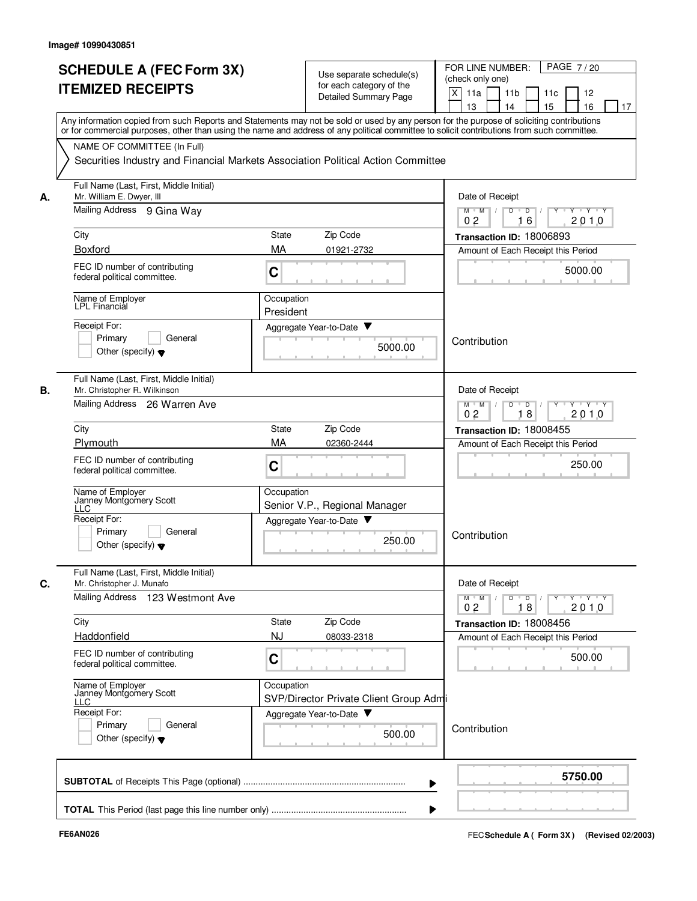|    | <b>SCHEDULE A (FEC Form 3X)</b><br><b>ITEMIZED RECEIPTS</b>                                                                                                                                                                                                                             |                         | Use separate schedule(s)<br>for each category of the | PAGE 7/20<br>FOR LINE NUMBER:<br>(check only one)<br>X<br>11a<br>11 <sub>b</sub><br>11c<br>12                                                           |  |  |  |
|----|-----------------------------------------------------------------------------------------------------------------------------------------------------------------------------------------------------------------------------------------------------------------------------------------|-------------------------|------------------------------------------------------|---------------------------------------------------------------------------------------------------------------------------------------------------------|--|--|--|
|    |                                                                                                                                                                                                                                                                                         |                         | Detailed Summary Page                                | 16<br>13<br>14<br>15<br>17                                                                                                                              |  |  |  |
|    | Any information copied from such Reports and Statements may not be sold or used by any person for the purpose of soliciting contributions<br>or for commercial purposes, other than using the name and address of any political committee to solicit contributions from such committee. |                         |                                                      |                                                                                                                                                         |  |  |  |
|    | NAME OF COMMITTEE (In Full)                                                                                                                                                                                                                                                             |                         |                                                      |                                                                                                                                                         |  |  |  |
|    | Securities Industry and Financial Markets Association Political Action Committee                                                                                                                                                                                                        |                         |                                                      |                                                                                                                                                         |  |  |  |
| А. | Full Name (Last, First, Middle Initial)<br>Mr. William E. Dwyer, III                                                                                                                                                                                                                    | Date of Receipt         |                                                      |                                                                                                                                                         |  |  |  |
|    | Mailing Address 9 Gina Way                                                                                                                                                                                                                                                              |                         |                                                      | $M$ $M$ /<br>$\overline{D}$<br>$\blacksquare$ $\blacksquare$ $\blacksquare$ $\blacksquare$<br>Y Y Y Y<br>$\overline{Y}$<br>2010<br>0 <sub>2</sub><br>16 |  |  |  |
|    | City                                                                                                                                                                                                                                                                                    | State                   | Zip Code                                             | Transaction ID: 18006893                                                                                                                                |  |  |  |
|    | Boxford                                                                                                                                                                                                                                                                                 | MA                      | 01921-2732                                           | Amount of Each Receipt this Period                                                                                                                      |  |  |  |
|    | FEC ID number of contributing<br>federal political committee.                                                                                                                                                                                                                           | C                       |                                                      | 5000.00                                                                                                                                                 |  |  |  |
|    | Name of Employer<br>LPL Financial                                                                                                                                                                                                                                                       | Occupation<br>President |                                                      |                                                                                                                                                         |  |  |  |
|    | Receipt For:                                                                                                                                                                                                                                                                            |                         | Aggregate Year-to-Date                               |                                                                                                                                                         |  |  |  |
|    | Primary<br>General<br>Other (specify) $\blacktriangledown$                                                                                                                                                                                                                              |                         | 5000.00                                              | Contribution                                                                                                                                            |  |  |  |
| В. | Full Name (Last, First, Middle Initial)<br>Mr. Christopher R. Wilkinson                                                                                                                                                                                                                 |                         |                                                      | Date of Receipt                                                                                                                                         |  |  |  |
|    | Mailing Address 26 Warren Ave                                                                                                                                                                                                                                                           |                         |                                                      | $M$ $M$<br>D<br>D<br>Y "Y "Y<br>18<br>2010<br>02                                                                                                        |  |  |  |
|    | City                                                                                                                                                                                                                                                                                    | <b>State</b>            | Zip Code                                             | Transaction ID: 18008455                                                                                                                                |  |  |  |
|    | Plymouth                                                                                                                                                                                                                                                                                | MA                      | 02360-2444                                           | Amount of Each Receipt this Period                                                                                                                      |  |  |  |
|    | FEC ID number of contributing<br>federal political committee.                                                                                                                                                                                                                           | C                       |                                                      | 250.00                                                                                                                                                  |  |  |  |
|    | Name of Employer<br>Janney Montgomery Scott<br>LLC                                                                                                                                                                                                                                      | Occupation              | Senior V.P., Regional Manager                        |                                                                                                                                                         |  |  |  |
|    | Receipt For:                                                                                                                                                                                                                                                                            |                         | Aggregate Year-to-Date                               |                                                                                                                                                         |  |  |  |
|    | Primary<br>General<br>Other (specify) $\blacktriangledown$                                                                                                                                                                                                                              |                         | 250.00                                               | Contribution                                                                                                                                            |  |  |  |
| С. | Full Name (Last, First, Middle Initial)<br>Mr. Christopher J. Munafo                                                                                                                                                                                                                    |                         |                                                      | Date of Receipt                                                                                                                                         |  |  |  |
|    | Mailing Address 123 Westmont Ave                                                                                                                                                                                                                                                        |                         |                                                      | $\mathbf{Y} \perp \mathbf{A} \perp \mathbf{A}$<br>$D$ $D$ $I$<br>$\Gamma Y$<br>$M$ M<br>2010<br>0 <sub>2</sub><br>18                                    |  |  |  |
|    | City                                                                                                                                                                                                                                                                                    | State                   | Zip Code                                             | Transaction ID: 18008456                                                                                                                                |  |  |  |
|    | Haddonfield                                                                                                                                                                                                                                                                             | <b>NJ</b>               | 08033-2318                                           | Amount of Each Receipt this Period                                                                                                                      |  |  |  |
|    | FEC ID number of contributing<br>federal political committee.                                                                                                                                                                                                                           | C                       |                                                      | 500.00                                                                                                                                                  |  |  |  |
|    | Name of Employer<br>Janney Montgomery Scott<br>LLC                                                                                                                                                                                                                                      | Occupation              | SVP/Director Private Client Group Adm                |                                                                                                                                                         |  |  |  |
|    | Receipt For:                                                                                                                                                                                                                                                                            |                         | Aggregate Year-to-Date                               |                                                                                                                                                         |  |  |  |
|    | Primary<br>General<br>Other (specify) $\blacktriangledown$                                                                                                                                                                                                                              |                         | 500.00                                               | Contribution                                                                                                                                            |  |  |  |
|    |                                                                                                                                                                                                                                                                                         |                         |                                                      | 5750.00                                                                                                                                                 |  |  |  |
|    |                                                                                                                                                                                                                                                                                         |                         |                                                      |                                                                                                                                                         |  |  |  |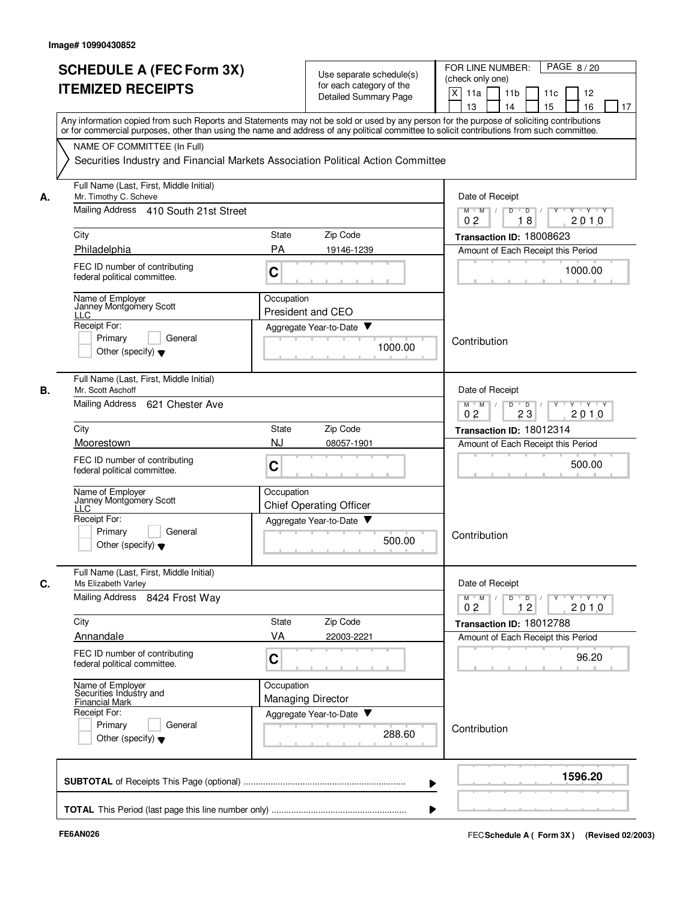|    | <b>SCHEDULE A (FEC Form 3X)</b><br><b>ITEMIZED RECEIPTS</b>                                                                                                                                                                                                                             |                                        | Use separate schedule(s)<br>for each category of the | PAGE 8/20<br>FOR LINE NUMBER:<br>(check only one)                                                                                |
|----|-----------------------------------------------------------------------------------------------------------------------------------------------------------------------------------------------------------------------------------------------------------------------------------------|----------------------------------------|------------------------------------------------------|----------------------------------------------------------------------------------------------------------------------------------|
|    |                                                                                                                                                                                                                                                                                         |                                        | Detailed Summary Page                                | X<br>11a<br>11 <sub>b</sub><br>11c<br>12<br>13<br>14<br>15<br>16<br>17                                                           |
|    | Any information copied from such Reports and Statements may not be sold or used by any person for the purpose of soliciting contributions<br>or for commercial purposes, other than using the name and address of any political committee to solicit contributions from such committee. |                                        |                                                      |                                                                                                                                  |
|    | NAME OF COMMITTEE (In Full)                                                                                                                                                                                                                                                             |                                        |                                                      |                                                                                                                                  |
|    | Securities Industry and Financial Markets Association Political Action Committee                                                                                                                                                                                                        |                                        |                                                      |                                                                                                                                  |
| А. | Full Name (Last, First, Middle Initial)<br>Mr. Timothy C. Scheve                                                                                                                                                                                                                        |                                        |                                                      | Date of Receipt                                                                                                                  |
|    | Mailing Address 410 South 21st Street                                                                                                                                                                                                                                                   |                                        |                                                      | $M$ M<br>$\mathcal{L}$<br>D<br>$\overline{D}$<br>$Y + Y + Y$<br>18<br>2010<br>02                                                 |
|    | City                                                                                                                                                                                                                                                                                    | State                                  | Zip Code                                             | Transaction ID: 18008623                                                                                                         |
|    | Philadelphia                                                                                                                                                                                                                                                                            | PA                                     | 19146-1239                                           | Amount of Each Receipt this Period                                                                                               |
|    | FEC ID number of contributing<br>federal political committee.                                                                                                                                                                                                                           | C                                      |                                                      | 1000.00                                                                                                                          |
|    | Name of Employer<br>Janney Montgomery Scott<br><b>LLC</b>                                                                                                                                                                                                                               | Occupation<br>President and CEO        |                                                      |                                                                                                                                  |
|    | Receipt For:                                                                                                                                                                                                                                                                            |                                        | Aggregate Year-to-Date                               |                                                                                                                                  |
|    | Primary<br>General<br>Other (specify) $\blacktriangledown$                                                                                                                                                                                                                              |                                        | 1000.00                                              | Contribution                                                                                                                     |
|    | Full Name (Last, First, Middle Initial)<br>Mr. Scott Aschoff                                                                                                                                                                                                                            |                                        |                                                      | Date of Receipt                                                                                                                  |
|    | Mailing Address<br>621 Chester Ave                                                                                                                                                                                                                                                      |                                        |                                                      | $Y \vdash Y \vdash Y$<br>$M$ $M$<br>D<br>$\overline{D}$<br>$Y$ <sup>U</sup><br>23<br>0 <sub>2</sub><br>2010                      |
|    | City                                                                                                                                                                                                                                                                                    | State                                  | Zip Code                                             | Transaction ID: 18012314                                                                                                         |
|    | Moorestown                                                                                                                                                                                                                                                                              | <b>NJ</b>                              | 08057-1901                                           | Amount of Each Receipt this Period                                                                                               |
|    | FEC ID number of contributing<br>federal political committee.                                                                                                                                                                                                                           | C                                      |                                                      | 500.00                                                                                                                           |
|    | Name of Employer<br>Janney Montgomery Scott<br><b>LLC</b>                                                                                                                                                                                                                               | Occupation                             | <b>Chief Operating Officer</b>                       |                                                                                                                                  |
|    | Receipt For:                                                                                                                                                                                                                                                                            |                                        | Aggregate Year-to-Date                               |                                                                                                                                  |
|    | Primary<br>General<br>Other (specify) $\blacktriangledown$                                                                                                                                                                                                                              |                                        | 500.00                                               | Contribution                                                                                                                     |
|    | Full Name (Last, First, Middle Initial)<br>Ms Elizabeth Varley                                                                                                                                                                                                                          |                                        |                                                      | Date of Receipt                                                                                                                  |
|    | Mailing Address 8424 Frost Way                                                                                                                                                                                                                                                          |                                        |                                                      | $\mathsf{Y} \dashv \mathsf{Y} \dashv \mathsf{Y}$<br>$M$ $M$<br>$\overline{D}$<br>$Y$ $\top$<br>D<br>0 <sub>2</sub><br>12<br>2010 |
|    | City                                                                                                                                                                                                                                                                                    | State                                  | Zip Code                                             | Transaction ID: 18012788                                                                                                         |
|    | Annandale                                                                                                                                                                                                                                                                               | VA                                     | 22003-2221                                           | Amount of Each Receipt this Period                                                                                               |
|    | FEC ID number of contributing<br>federal political committee.                                                                                                                                                                                                                           | C                                      |                                                      | 96.20                                                                                                                            |
|    | Name of Employer<br>Securities Industry and<br><b>Financial Mark</b>                                                                                                                                                                                                                    | Occupation<br><b>Managing Director</b> |                                                      |                                                                                                                                  |
|    | Receipt For:                                                                                                                                                                                                                                                                            |                                        | Aggregate Year-to-Date                               |                                                                                                                                  |
|    | Primary<br>General<br>Other (specify) $\blacktriangledown$                                                                                                                                                                                                                              |                                        | 288.60                                               | Contribution                                                                                                                     |
|    |                                                                                                                                                                                                                                                                                         |                                        |                                                      | 1596.20                                                                                                                          |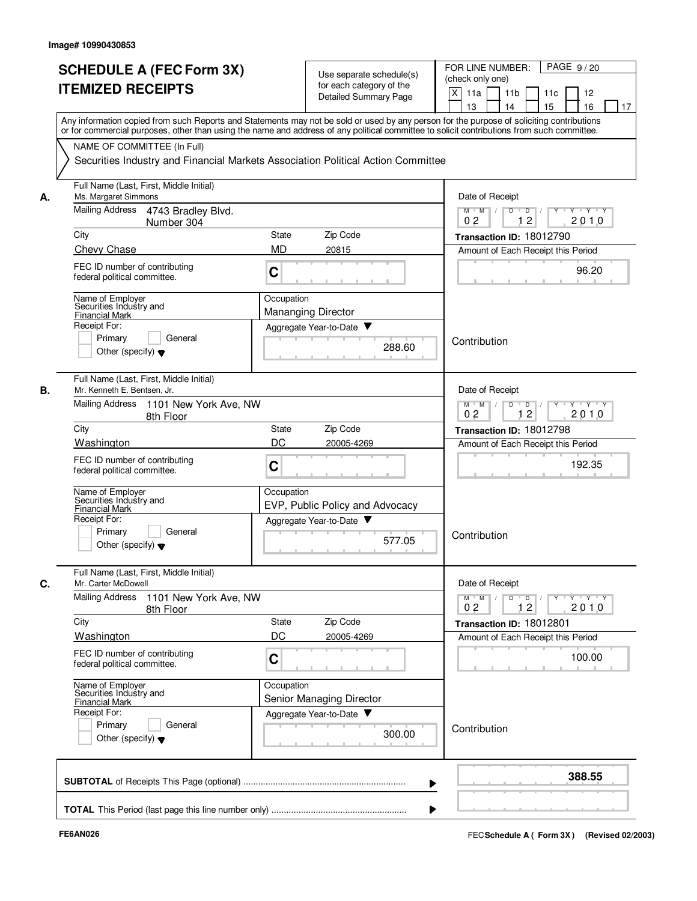|    |                                                                                                                                                                                                                                                                                         |                           |                                 | PAGE 9/20<br>FOR LINE NUMBER:                                                                                                   |
|----|-----------------------------------------------------------------------------------------------------------------------------------------------------------------------------------------------------------------------------------------------------------------------------------------|---------------------------|---------------------------------|---------------------------------------------------------------------------------------------------------------------------------|
|    | <b>SCHEDULE A (FEC Form 3X)</b>                                                                                                                                                                                                                                                         |                           | Use separate schedule(s)        | (check only one)                                                                                                                |
|    | <b>ITEMIZED RECEIPTS</b>                                                                                                                                                                                                                                                                |                           | for each category of the        | $\times$<br>11a<br>11 <sub>b</sub><br>11c<br>12                                                                                 |
|    |                                                                                                                                                                                                                                                                                         |                           | <b>Detailed Summary Page</b>    | 16<br>13<br>14<br>15<br>17                                                                                                      |
|    | Any information copied from such Reports and Statements may not be sold or used by any person for the purpose of soliciting contributions<br>or for commercial purposes, other than using the name and address of any political committee to solicit contributions from such committee. |                           |                                 |                                                                                                                                 |
|    | NAME OF COMMITTEE (In Full)                                                                                                                                                                                                                                                             |                           |                                 |                                                                                                                                 |
|    | Securities Industry and Financial Markets Association Political Action Committee                                                                                                                                                                                                        |                           |                                 |                                                                                                                                 |
| А. | Full Name (Last, First, Middle Initial)<br>Ms. Margaret Simmons                                                                                                                                                                                                                         | Date of Receipt           |                                 |                                                                                                                                 |
|    | Mailing Address<br>4743 Bradley Blvd.<br>Number 304                                                                                                                                                                                                                                     |                           |                                 | $M$ $M$ /<br>$D$ $D$ $1$<br>$\overline{Y}$ $\overline{Y}$ $\overline{Y}$<br>Y<br>0 <sub>2</sub><br>12<br>2010                   |
|    | City                                                                                                                                                                                                                                                                                    | State                     | Zip Code                        | Transaction ID: 18012790                                                                                                        |
|    | Chevy Chase                                                                                                                                                                                                                                                                             | <b>MD</b>                 | 20815                           | Amount of Each Receipt this Period                                                                                              |
|    | FEC ID number of contributing<br>federal political committee.                                                                                                                                                                                                                           | C                         |                                 | 96.20                                                                                                                           |
|    | Name of Employer<br>Securities Industry and                                                                                                                                                                                                                                             | Occupation                |                                 |                                                                                                                                 |
|    | <b>Financial Mark</b>                                                                                                                                                                                                                                                                   | <b>Mananging Director</b> |                                 |                                                                                                                                 |
|    | Receipt For:                                                                                                                                                                                                                                                                            | Aggregate Year-to-Date    |                                 |                                                                                                                                 |
|    | General<br>Primary<br>Other (specify) $\blacktriangledown$                                                                                                                                                                                                                              |                           | 288.60                          | Contribution                                                                                                                    |
| В. | Full Name (Last, First, Middle Initial)<br>Mr. Kenneth E. Bentsen, Jr.                                                                                                                                                                                                                  |                           |                                 | Date of Receipt                                                                                                                 |
|    | Mailing Address<br>1101 New York Ave, NW<br>8th Floor                                                                                                                                                                                                                                   |                           |                                 | D<br>$\Box$<br>$M$ $M$<br>$Y$ $Y$<br>12<br>2010<br>02                                                                           |
|    | City                                                                                                                                                                                                                                                                                    | State                     | Zip Code                        | Transaction ID: 18012798                                                                                                        |
|    | Washington                                                                                                                                                                                                                                                                              | DC                        | 20005-4269                      | Amount of Each Receipt this Period                                                                                              |
|    | FEC ID number of contributing<br>federal political committee.                                                                                                                                                                                                                           | C                         |                                 | 192.35                                                                                                                          |
|    | Name of Employer                                                                                                                                                                                                                                                                        | Occupation                |                                 |                                                                                                                                 |
|    | Securities Industry and<br><b>Financial Mark</b>                                                                                                                                                                                                                                        |                           | EVP, Public Policy and Advocacy |                                                                                                                                 |
|    | Receipt For:                                                                                                                                                                                                                                                                            | Aggregate Year-to-Date    |                                 |                                                                                                                                 |
|    | Primarv<br>General<br>Other (specify) $\blacktriangledown$                                                                                                                                                                                                                              |                           | 577.05                          | Contribution                                                                                                                    |
| С. | Full Name (Last, First, Middle Initial)<br>Mr. Carter McDowell                                                                                                                                                                                                                          |                           |                                 | Date of Receipt                                                                                                                 |
|    | <b>Mailing Address</b><br>1101 New York Ave, NW<br>8th Floor                                                                                                                                                                                                                            |                           |                                 | $\mathbf{Y} \perp \mathbf{Y} \perp \mathbf{Y}$<br>$D$ $D$ $/$<br>$M$ $M$ /<br>$Y$ <sup>-1</sup><br>2010<br>0 <sub>2</sub><br>12 |
|    | City                                                                                                                                                                                                                                                                                    | State                     | Zip Code                        | Transaction ID: 18012801                                                                                                        |
|    | Washington                                                                                                                                                                                                                                                                              | DC                        | 20005-4269                      | Amount of Each Receipt this Period                                                                                              |
|    | FEC ID number of contributing<br>federal political committee.                                                                                                                                                                                                                           | C                         |                                 | 100.00                                                                                                                          |
|    | Name of Employer<br>Securities Industry and                                                                                                                                                                                                                                             | Occupation                |                                 |                                                                                                                                 |
|    | <b>Financial Mark</b>                                                                                                                                                                                                                                                                   | Senior Managing Director  |                                 |                                                                                                                                 |
|    | Receipt For:                                                                                                                                                                                                                                                                            | Aggregate Year-to-Date    |                                 |                                                                                                                                 |
|    | Primary<br>General<br>Other (specify) $\blacktriangledown$                                                                                                                                                                                                                              |                           | 300.00                          | Contribution                                                                                                                    |
|    |                                                                                                                                                                                                                                                                                         |                           |                                 | 388.55                                                                                                                          |
|    |                                                                                                                                                                                                                                                                                         |                           |                                 |                                                                                                                                 |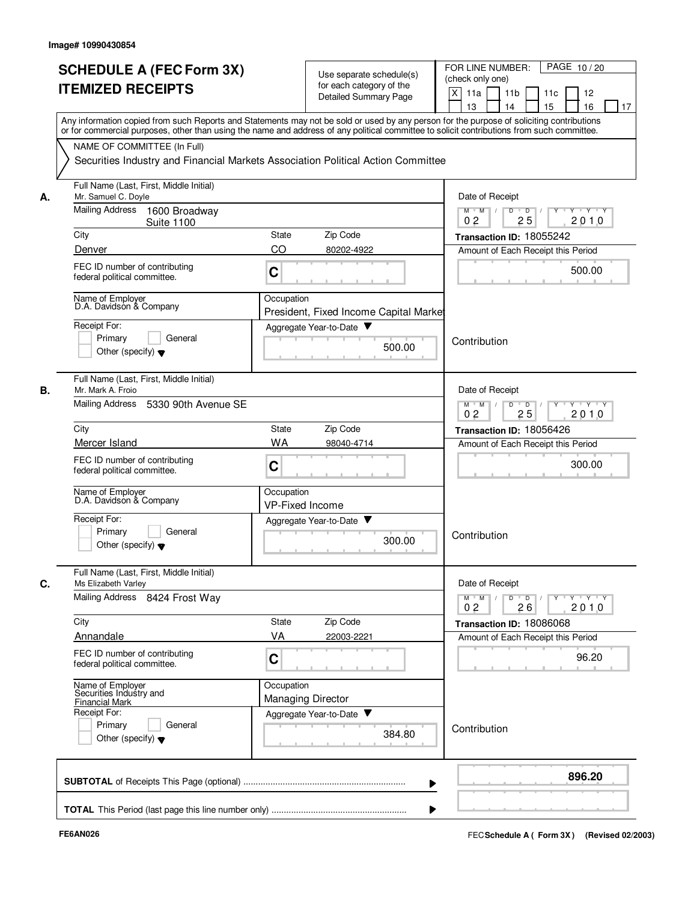|    | <b>SCHEDULE A (FEC Form 3X)</b><br><b>ITEMIZED RECEIPTS</b>    | Use separate schedule(s)<br>for each category of the<br><b>Detailed Summary Page</b>                                                                                                                                                                                                    | PAGE 10/20<br>FOR LINE NUMBER:<br>(check only one)<br>X<br>11a<br>11 <sub>b</sub><br>11c<br>12<br>15<br>13<br>14<br>16<br>17 |  |  |  |
|----|----------------------------------------------------------------|-----------------------------------------------------------------------------------------------------------------------------------------------------------------------------------------------------------------------------------------------------------------------------------------|------------------------------------------------------------------------------------------------------------------------------|--|--|--|
|    |                                                                | Any information copied from such Reports and Statements may not be sold or used by any person for the purpose of soliciting contributions<br>or for commercial purposes, other than using the name and address of any political committee to solicit contributions from such committee. |                                                                                                                              |  |  |  |
|    | NAME OF COMMITTEE (In Full)                                    |                                                                                                                                                                                                                                                                                         |                                                                                                                              |  |  |  |
|    |                                                                | Securities Industry and Financial Markets Association Political Action Committee                                                                                                                                                                                                        |                                                                                                                              |  |  |  |
| А. | Full Name (Last, First, Middle Initial)<br>Mr. Samuel C. Doyle |                                                                                                                                                                                                                                                                                         | Date of Receipt                                                                                                              |  |  |  |
|    | Mailing Address<br>1600 Broadway<br><b>Suite 1100</b>          |                                                                                                                                                                                                                                                                                         | $M$ $M$ /<br>D<br>$\overline{D}$ /<br>$Y$ <sup><math>\top</math></sup><br>$Y \cup Y \cup Y$<br>25<br>2010<br>0 <sub>2</sub>  |  |  |  |
|    | City                                                           | Zip Code<br><b>State</b>                                                                                                                                                                                                                                                                | Transaction ID: 18055242                                                                                                     |  |  |  |
|    | Denver                                                         | CO<br>80202-4922                                                                                                                                                                                                                                                                        | Amount of Each Receipt this Period                                                                                           |  |  |  |
|    | FEC ID number of contributing<br>federal political committee.  | C                                                                                                                                                                                                                                                                                       | 500.00                                                                                                                       |  |  |  |
|    | Name of Employer<br>D.A. Davidson & Company                    | Occupation<br>President, Fixed Income Capital Market                                                                                                                                                                                                                                    |                                                                                                                              |  |  |  |
|    | Receipt For:                                                   | Aggregate Year-to-Date                                                                                                                                                                                                                                                                  |                                                                                                                              |  |  |  |
|    | Primary<br>General<br>Other (specify) $\blacktriangledown$     | 500.00                                                                                                                                                                                                                                                                                  | Contribution                                                                                                                 |  |  |  |
| В. | Full Name (Last, First, Middle Initial)<br>Mr. Mark A. Froio   |                                                                                                                                                                                                                                                                                         | Date of Receipt                                                                                                              |  |  |  |
|    | Mailing Address<br>5330 90th Avenue SE                         |                                                                                                                                                                                                                                                                                         | $Y - Y - Y$<br>$M$ $M$<br>D<br>$\overline{D}$<br>0 <sub>2</sub><br>25<br>2010                                                |  |  |  |
|    | City                                                           | Zip Code<br>State                                                                                                                                                                                                                                                                       | Transaction ID: 18056426                                                                                                     |  |  |  |
|    | Mercer Island                                                  | <b>WA</b><br>98040-4714                                                                                                                                                                                                                                                                 | Amount of Each Receipt this Period                                                                                           |  |  |  |
|    | FEC ID number of contributing<br>federal political committee.  | C                                                                                                                                                                                                                                                                                       | 300.00                                                                                                                       |  |  |  |
|    | Name of Employer<br>D.A. Davidson & Company                    | Occupation<br><b>VP-Fixed Income</b>                                                                                                                                                                                                                                                    |                                                                                                                              |  |  |  |
|    | Receipt For:                                                   | Aggregate Year-to-Date                                                                                                                                                                                                                                                                  |                                                                                                                              |  |  |  |
|    | Primary<br>General<br>Other (specify) $\blacktriangledown$     | 300.00                                                                                                                                                                                                                                                                                  | Contribution                                                                                                                 |  |  |  |
| C. | Full Name (Last, First, Middle Initial)<br>Ms Elizabeth Varley |                                                                                                                                                                                                                                                                                         | Date of Receipt                                                                                                              |  |  |  |
|    | Mailing Address 8424 Frost Way                                 |                                                                                                                                                                                                                                                                                         | $Y$ $Y$ $Y$<br>Y<br>$M$ $M$<br>D<br>$\overline{D}$<br>0 <sub>2</sub><br>2010<br>26                                           |  |  |  |
|    | City                                                           | Zip Code<br>State                                                                                                                                                                                                                                                                       | Transaction ID: 18086068                                                                                                     |  |  |  |
|    | Annandale                                                      | VA<br>22003-2221                                                                                                                                                                                                                                                                        | Amount of Each Receipt this Period                                                                                           |  |  |  |
|    | FEC ID number of contributing<br>federal political committee.  | C                                                                                                                                                                                                                                                                                       | 96.20                                                                                                                        |  |  |  |
|    | Name of Employer<br>Securities Industry and                    | Occupation<br><b>Managing Director</b>                                                                                                                                                                                                                                                  |                                                                                                                              |  |  |  |
|    | <b>Financial Mark</b><br>Receipt For:                          | Aggregate Year-to-Date                                                                                                                                                                                                                                                                  |                                                                                                                              |  |  |  |
|    | Primary<br>General<br>Other (specify) $\blacktriangledown$     | 384.80                                                                                                                                                                                                                                                                                  | Contribution                                                                                                                 |  |  |  |
|    |                                                                |                                                                                                                                                                                                                                                                                         | 896.20                                                                                                                       |  |  |  |
|    |                                                                |                                                                                                                                                                                                                                                                                         |                                                                                                                              |  |  |  |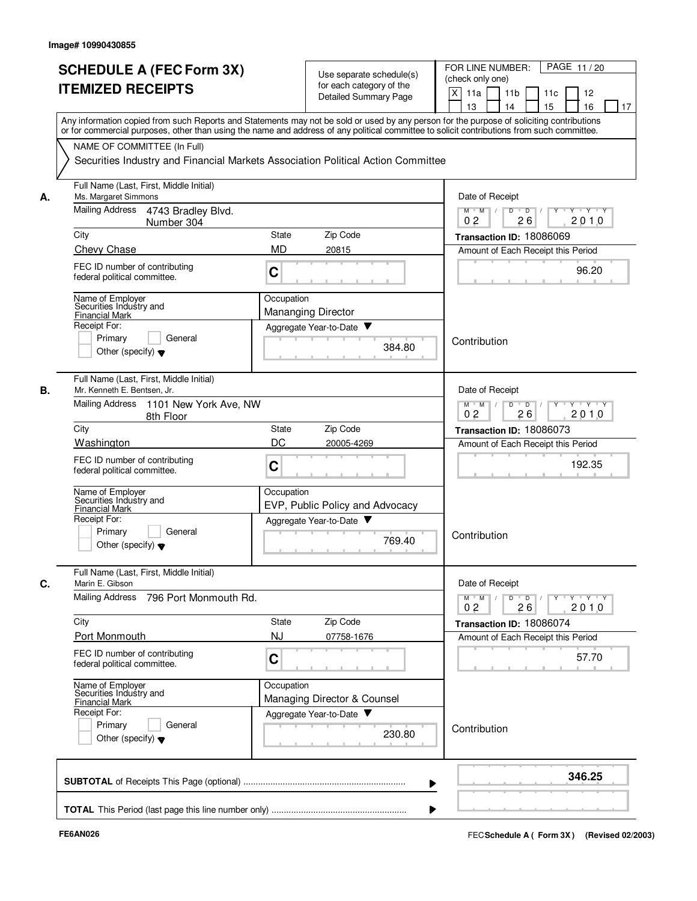| <b>SCHEDULE A (FEC Form 3X)</b><br><b>ITEMIZED RECEIPTS</b>                  | Use separate schedule(s)<br>for each category of the<br><b>Detailed Summary Page</b>                                                                                                                                                                                                    | PAGE 11/20<br>FOR LINE NUMBER:<br>(check only one)<br>X<br>11 <sub>b</sub><br>11a<br>11c<br>12<br>13<br>14<br>15<br>16<br>17 |
|------------------------------------------------------------------------------|-----------------------------------------------------------------------------------------------------------------------------------------------------------------------------------------------------------------------------------------------------------------------------------------|------------------------------------------------------------------------------------------------------------------------------|
| NAME OF COMMITTEE (In Full)                                                  | Any information copied from such Reports and Statements may not be sold or used by any person for the purpose of soliciting contributions<br>or for commercial purposes, other than using the name and address of any political committee to solicit contributions from such committee. |                                                                                                                              |
|                                                                              | Securities Industry and Financial Markets Association Political Action Committee                                                                                                                                                                                                        |                                                                                                                              |
| Full Name (Last, First, Middle Initial)<br>Ms. Margaret Simmons<br>А.        |                                                                                                                                                                                                                                                                                         | Date of Receipt                                                                                                              |
| Mailing Address<br>4743 Bradley Blvd.<br>Number 304                          |                                                                                                                                                                                                                                                                                         | $M$ $M$ /<br>D<br>$\overline{D}$<br>$\mathbf{Y} \mathbf{Y}$<br>Y<br>2010<br>0 <sub>2</sub><br>26                             |
| City                                                                         | State<br>Zip Code                                                                                                                                                                                                                                                                       | Transaction ID: 18086069                                                                                                     |
| <b>Chevy Chase</b>                                                           | <b>MD</b><br>20815                                                                                                                                                                                                                                                                      | Amount of Each Receipt this Period                                                                                           |
| FEC ID number of contributing<br>federal political committee.                | C                                                                                                                                                                                                                                                                                       | 96.20                                                                                                                        |
| Name of Employer<br>Securities Industry and                                  | Occupation                                                                                                                                                                                                                                                                              |                                                                                                                              |
| <b>Financial Mark</b>                                                        | <b>Mananging Director</b>                                                                                                                                                                                                                                                               |                                                                                                                              |
| Receipt For:                                                                 | Aggregate Year-to-Date                                                                                                                                                                                                                                                                  |                                                                                                                              |
| General<br>Primary<br>Other (specify) $\blacktriangledown$                   | 384.80                                                                                                                                                                                                                                                                                  | Contribution                                                                                                                 |
| Full Name (Last, First, Middle Initial)<br>В.<br>Mr. Kenneth E. Bentsen, Jr. |                                                                                                                                                                                                                                                                                         | Date of Receipt                                                                                                              |
| Mailing Address<br>1101 New York Ave, NW<br>8th Floor                        |                                                                                                                                                                                                                                                                                         | $M$ $M$ /<br>D<br>$\overline{D}$<br>$Y \cup Y$<br>2010<br>02<br>26                                                           |
| City                                                                         | Zip Code<br>State                                                                                                                                                                                                                                                                       | Transaction ID: 18086073                                                                                                     |
| Washington                                                                   | DC<br>20005-4269                                                                                                                                                                                                                                                                        | Amount of Each Receipt this Period                                                                                           |
| FEC ID number of contributing<br>federal political committee.                | C                                                                                                                                                                                                                                                                                       | 192.35                                                                                                                       |
| Name of Employer<br>Securities Industry and                                  | Occupation<br>EVP, Public Policy and Advocacy                                                                                                                                                                                                                                           |                                                                                                                              |
| <b>Financial Mark</b><br>Receipt For:                                        | Aggregate Year-to-Date                                                                                                                                                                                                                                                                  |                                                                                                                              |
| Primary<br>General<br>Other (specify) $\blacktriangledown$                   | 769.40                                                                                                                                                                                                                                                                                  | Contribution                                                                                                                 |
| Full Name (Last, First, Middle Initial)<br>С.<br>Marin E. Gibson             |                                                                                                                                                                                                                                                                                         | Date of Receipt                                                                                                              |
| <b>Mailing Address</b><br>796 Port Monmouth Rd.                              |                                                                                                                                                                                                                                                                                         | $D$ $D$<br>$Y \rightarrow Y \rightarrow Y$<br>$M$ M<br>2010<br>0 <sub>2</sub><br>26                                          |
| City                                                                         | Zip Code<br>State                                                                                                                                                                                                                                                                       | Transaction ID: 18086074                                                                                                     |
| Port Monmouth                                                                | <b>NJ</b><br>07758-1676                                                                                                                                                                                                                                                                 | Amount of Each Receipt this Period                                                                                           |
| FEC ID number of contributing<br>federal political committee.                | C                                                                                                                                                                                                                                                                                       | 57.70                                                                                                                        |
| Name of Employer<br>Securities Industry and<br><b>Financial Mark</b>         | Occupation<br>Managing Director & Counsel                                                                                                                                                                                                                                               |                                                                                                                              |
| Receipt For:<br>Primary<br>General<br>Other (specify) $\blacktriangledown$   | Aggregate Year-to-Date<br>230.80                                                                                                                                                                                                                                                        | Contribution                                                                                                                 |
|                                                                              |                                                                                                                                                                                                                                                                                         | 346.25                                                                                                                       |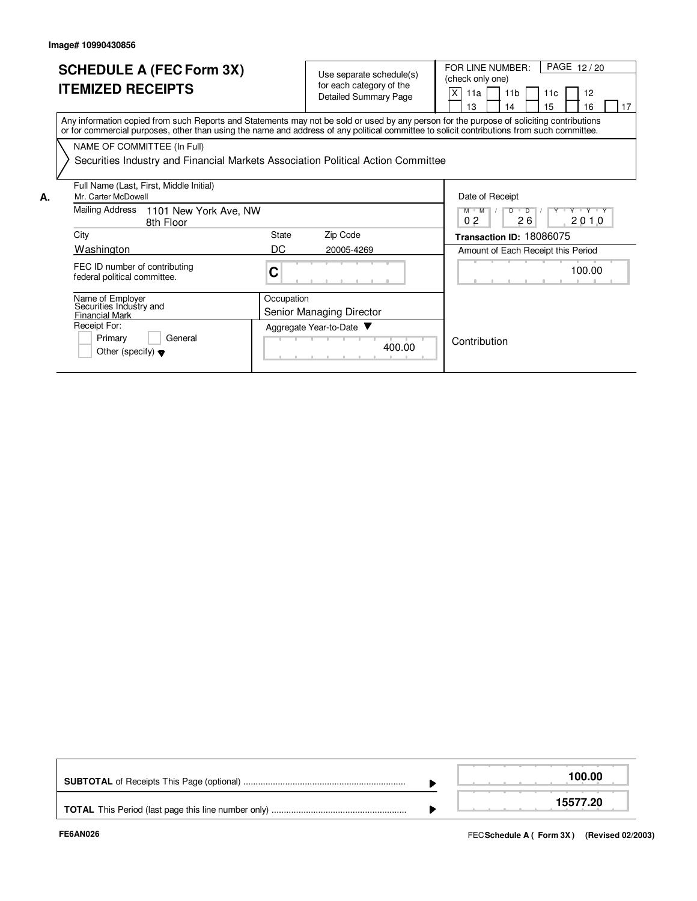Other (specify)  $\blacktriangledown$ 

|    | <b>SCHEDULE A (FEC Form 3X)</b><br><b>ITEMIZED RECEIPTS</b>                                                                                                                                                                                                                             |            | Use separate schedule(s)<br>for each category of the<br><b>Detailed Summary Page</b> | X                        | (check only one)<br>11a<br>13 | FOR LINE NUMBER:<br>11 <sub>b</sub><br>14 | 11c<br>15 | PAGE 12/20<br>12<br>16             | 17 |
|----|-----------------------------------------------------------------------------------------------------------------------------------------------------------------------------------------------------------------------------------------------------------------------------------------|------------|--------------------------------------------------------------------------------------|--------------------------|-------------------------------|-------------------------------------------|-----------|------------------------------------|----|
|    | Any information copied from such Reports and Statements may not be sold or used by any person for the purpose of soliciting contributions<br>or for commercial purposes, other than using the name and address of any political committee to solicit contributions from such committee. |            |                                                                                      |                          |                               |                                           |           |                                    |    |
|    | NAME OF COMMITTEE (In Full)                                                                                                                                                                                                                                                             |            |                                                                                      |                          |                               |                                           |           |                                    |    |
|    | Securities Industry and Financial Markets Association Political Action Committee                                                                                                                                                                                                        |            |                                                                                      |                          |                               |                                           |           |                                    |    |
| А. | Full Name (Last, First, Middle Initial)<br>Mr. Carter McDowell                                                                                                                                                                                                                          |            |                                                                                      |                          |                               | Date of Receipt                           |           |                                    |    |
|    | Mailing Address<br>1101 New York Ave, NW<br>8th Floor                                                                                                                                                                                                                                   |            |                                                                                      |                          | $M$ $M$<br>0 <sub>2</sub>     | $D$ $D$<br>26                             |           | Y Y Y Y Y<br>2010                  |    |
|    | City                                                                                                                                                                                                                                                                                    | State      | Zip Code                                                                             | Transaction ID: 18086075 |                               |                                           |           |                                    |    |
|    | Washington                                                                                                                                                                                                                                                                              | DC         | 20005-4269                                                                           |                          |                               |                                           |           | Amount of Each Receipt this Period |    |
|    | FEC ID number of contributing<br>federal political committee.                                                                                                                                                                                                                           | C          |                                                                                      |                          |                               |                                           |           | 100.00                             |    |
|    | Name of Employer<br>Securities Industry and                                                                                                                                                                                                                                             | Occupation |                                                                                      |                          |                               |                                           |           |                                    |    |
|    | <b>Financial Mark</b>                                                                                                                                                                                                                                                                   |            | Senior Managing Director                                                             |                          |                               |                                           |           |                                    |    |
|    | Receipt For:                                                                                                                                                                                                                                                                            |            | Aggregate Year-to-Date ▼                                                             |                          |                               |                                           |           |                                    |    |
|    | Primary<br>General<br>$O^{\text{thor}}$ (engoifu) $\rightarrow$                                                                                                                                                                                                                         |            | 400.00                                                                               |                          | Contribution                  |                                           |           |                                    |    |

|  |  |  | 100.00   |  |
|--|--|--|----------|--|
|  |  |  | 15577.20 |  |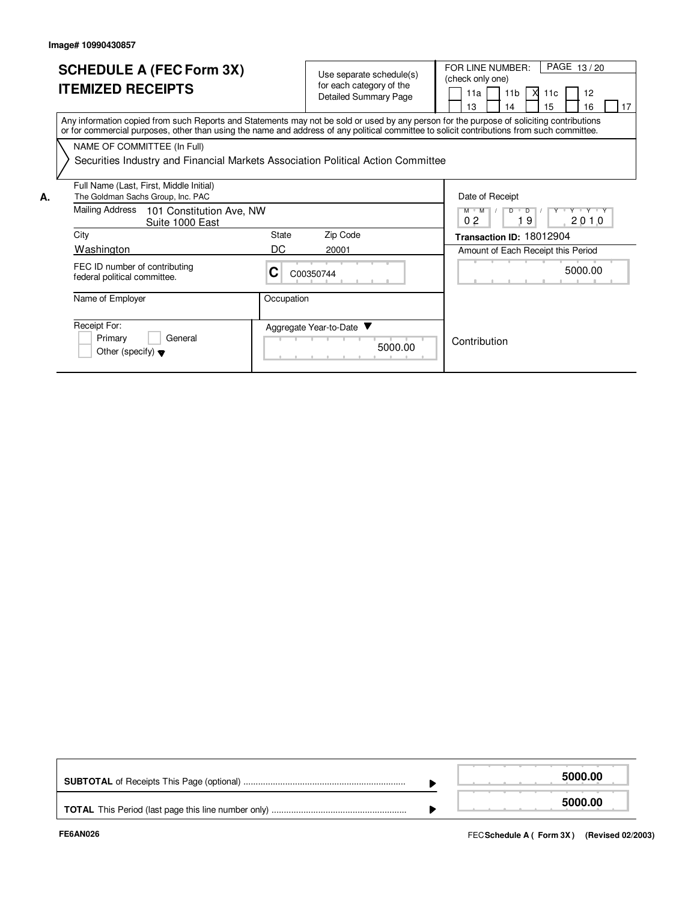|    | <b>SCHEDULE A (FEC Form 3X)</b><br><b>ITEMIZED RECEIPTS</b>                                                                                                                                                                                                                             |              | Use separate schedule(s)<br>for each category of the<br><b>Detailed Summary Page</b> | PAGE 13/20<br>FOR LINE NUMBER:<br>(check only one)<br><b>X</b><br>11 <sub>b</sub><br>12<br>11a<br>11c<br>13<br>15<br>16<br>17<br>14 |
|----|-----------------------------------------------------------------------------------------------------------------------------------------------------------------------------------------------------------------------------------------------------------------------------------------|--------------|--------------------------------------------------------------------------------------|-------------------------------------------------------------------------------------------------------------------------------------|
|    | Any information copied from such Reports and Statements may not be sold or used by any person for the purpose of soliciting contributions<br>or for commercial purposes, other than using the name and address of any political committee to solicit contributions from such committee. |              |                                                                                      |                                                                                                                                     |
|    | NAME OF COMMITTEE (In Full)<br>Securities Industry and Financial Markets Association Political Action Committee                                                                                                                                                                         |              |                                                                                      |                                                                                                                                     |
| А. | Full Name (Last, First, Middle Initial)<br>The Goldman Sachs Group, Inc. PAC                                                                                                                                                                                                            |              |                                                                                      | Date of Receipt                                                                                                                     |
|    | Mailing Address<br>101 Constitution Ave, NW<br>Suite 1000 East                                                                                                                                                                                                                          |              |                                                                                      | Y Y Y Y Y<br>$M$ $M$<br>$\overline{D}$<br>D<br>-9<br>0 <sub>2</sub><br>2010                                                         |
|    | City                                                                                                                                                                                                                                                                                    | <b>State</b> | Zip Code                                                                             | Transaction ID: 18012904                                                                                                            |
|    | Washington                                                                                                                                                                                                                                                                              | DC.          | 20001                                                                                | Amount of Each Receipt this Period                                                                                                  |
|    | FEC ID number of contributing<br>federal political committee.                                                                                                                                                                                                                           | C            | C00350744                                                                            | 5000.00                                                                                                                             |
|    | Name of Employer                                                                                                                                                                                                                                                                        | Occupation   |                                                                                      |                                                                                                                                     |
|    | Receipt For:<br>Primary<br>General<br>Other (specify) $\blacktriangledown$                                                                                                                                                                                                              |              | Aggregate Year-to-Date<br>5000.00                                                    | Contribution                                                                                                                        |

|  | 5000.00 |
|--|---------|
|  | 5000.00 |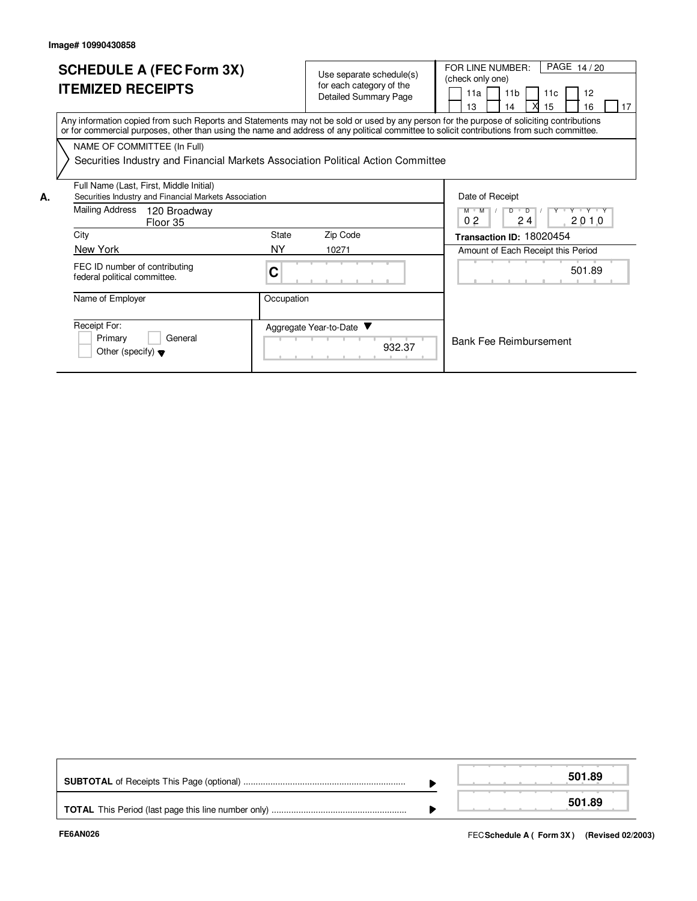Other (specify)

|    | <b>SCHEDULE A (FEC Form 3X)</b><br><b>ITEMIZED RECEIPTS</b>                                                                                                                                                                                                                             | Use separate schedule(s)<br>for each category of the<br><b>Detailed Summary Page</b> |                                    |                                                                 |  |  |  |  |
|----|-----------------------------------------------------------------------------------------------------------------------------------------------------------------------------------------------------------------------------------------------------------------------------------------|--------------------------------------------------------------------------------------|------------------------------------|-----------------------------------------------------------------|--|--|--|--|
|    | Any information copied from such Reports and Statements may not be sold or used by any person for the purpose of soliciting contributions<br>or for commercial purposes, other than using the name and address of any political committee to solicit contributions from such committee. |                                                                                      |                                    |                                                                 |  |  |  |  |
|    | NAME OF COMMITTEE (In Full)                                                                                                                                                                                                                                                             |                                                                                      |                                    |                                                                 |  |  |  |  |
|    | Securities Industry and Financial Markets Association Political Action Committee                                                                                                                                                                                                        |                                                                                      |                                    |                                                                 |  |  |  |  |
| А. | Full Name (Last, First, Middle Initial)<br>Securities Industry and Financial Markets Association                                                                                                                                                                                        |                                                                                      |                                    | Date of Receipt                                                 |  |  |  |  |
|    | Mailing Address<br>120 Broadway<br>Floor 35                                                                                                                                                                                                                                             |                                                                                      |                                    | Y Y Y Y Y<br>$M$ $M$<br>$D$ $D$<br>0 <sub>2</sub><br>24<br>2010 |  |  |  |  |
|    | City                                                                                                                                                                                                                                                                                    | State                                                                                | Zip Code                           | Transaction ID: 18020454                                        |  |  |  |  |
|    | New York                                                                                                                                                                                                                                                                                | NY.                                                                                  | 10271                              | Amount of Each Receipt this Period                              |  |  |  |  |
|    | FEC ID number of contributing<br>federal political committee.                                                                                                                                                                                                                           | C                                                                                    |                                    | 501.89                                                          |  |  |  |  |
|    | Name of Employer                                                                                                                                                                                                                                                                        | Occupation                                                                           |                                    |                                                                 |  |  |  |  |
|    | Receipt For:<br>Primary<br>General<br>$O^{\text{thor}}$ (engoifu) $\rightarrow$                                                                                                                                                                                                         |                                                                                      | Aggregate Year-to-Date ▼<br>932.37 | <b>Bank Fee Reimbursement</b>                                   |  |  |  |  |

|  | 501.89 |
|--|--------|
|  |        |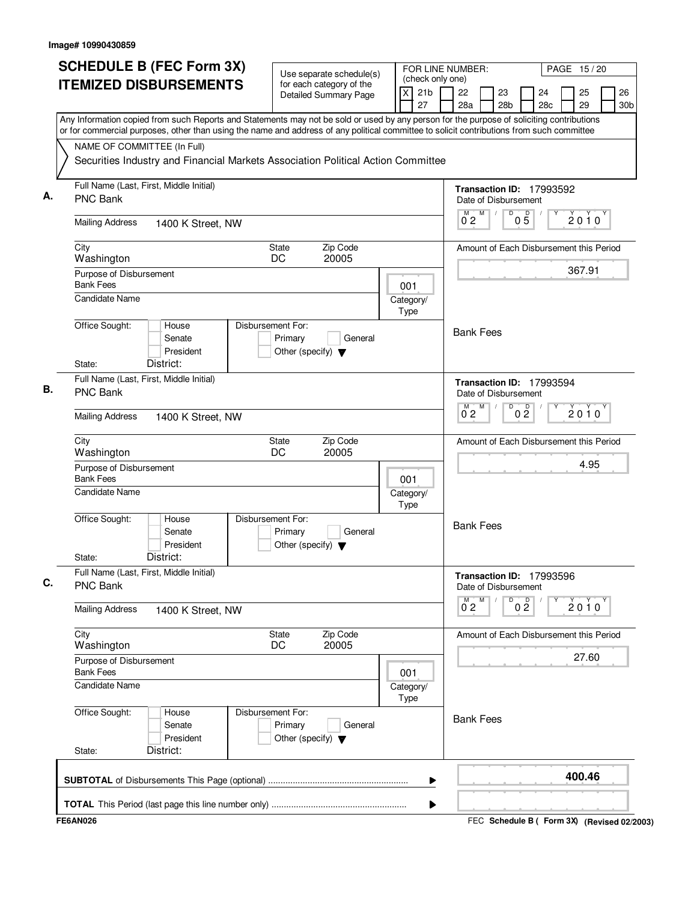| (check only one)<br><b>ITEMIZED DISBURSEMENTS</b><br>for each category of the<br>21 <sub>b</sub><br>22<br>X<br>23<br>25<br>24<br><b>Detailed Summary Page</b><br>27<br>28a<br>29<br>28 <sub>b</sub><br>28 <sub>c</sub><br>Any Information copied from such Reports and Statements may not be sold or used by any person for the purpose of soliciting contributions<br>or for commercial purposes, other than using the name and address of any political committee to solicit contributions from such committee<br>NAME OF COMMITTEE (In Full)<br>Securities Industry and Financial Markets Association Political Action Committee<br>Full Name (Last, First, Middle Initial)<br>Transaction ID: 17993592<br><b>PNC Bank</b><br>Date of Disbursement<br>M<br>$0\overline{5}$<br>$0^{M}$ 2<br>D<br>$2010^y$<br><b>Mailing Address</b><br>1400 K Street, NW<br>Zip Code<br>City<br>State<br>Amount of Each Disbursement this Period<br>DC<br>20005<br>Washington<br>367.91<br>Purpose of Disbursement<br><b>Bank Fees</b><br>001<br>Candidate Name<br>Category/<br>Type<br>Office Sought:<br>Disbursement For:<br>House<br><b>Bank Fees</b><br>Senate<br>Primary<br>General<br>President<br>Other (specify) $\blacktriangledown$<br>District:<br>State:<br>Full Name (Last, First, Middle Initial)<br>Transaction ID: 17993594<br><b>PNC Bank</b><br>Date of Disbursement<br>M<br>D<br>0 <sup>0</sup><br>2010<br>$0^{\degree}2$<br><b>Mailing Address</b><br>1400 K Street, NW<br>Zip Code<br>State<br>Amount of Each Disbursement this Period<br>City<br>DC<br>20005<br>Washington<br>4.95<br>Purpose of Disbursement<br><b>Bank Fees</b><br>001<br><b>Candidate Name</b><br>Category/<br>Type<br>Office Sought:<br>Disbursement For:<br>House<br><b>Bank Fees</b><br>Senate<br>Primary<br>General<br>President<br>Other (specify) $\blacktriangledown$<br>District:<br>State:<br>Full Name (Last, First, Middle Initial)<br>Transaction ID: 17993596<br><b>PNC Bank</b><br>Date of Disbursement<br>0 <sup>0</sup><br>2010<br>$0^{\circ}2$<br><b>Mailing Address</b><br>1400 K Street, NW<br>City<br>Zip Code<br>State<br>Amount of Each Disbursement this Period<br>DC<br>20005<br>Washington<br>27.60<br>Purpose of Disbursement<br><b>Bank Fees</b><br>001<br><b>Candidate Name</b><br>Category/<br>Type<br>Office Sought:<br>Disbursement For:<br>House<br><b>Bank Fees</b><br>Primary<br>Senate<br>General<br>President<br>Other (specify) $\blacktriangledown$<br>District:<br>State:<br>400.46<br>▶<br>▶<br><b>FE6AN026</b><br>FEC Schedule B ( Form 3X) (Revised 02/2003) | <b>SCHEDULE B (FEC Form 3X)</b> | Use separate schedule(s) |  | FOR LINE NUMBER:<br>PAGE 15/20 |  |  |  |  |                       |  |  |  |  |  |
|-----------------------------------------------------------------------------------------------------------------------------------------------------------------------------------------------------------------------------------------------------------------------------------------------------------------------------------------------------------------------------------------------------------------------------------------------------------------------------------------------------------------------------------------------------------------------------------------------------------------------------------------------------------------------------------------------------------------------------------------------------------------------------------------------------------------------------------------------------------------------------------------------------------------------------------------------------------------------------------------------------------------------------------------------------------------------------------------------------------------------------------------------------------------------------------------------------------------------------------------------------------------------------------------------------------------------------------------------------------------------------------------------------------------------------------------------------------------------------------------------------------------------------------------------------------------------------------------------------------------------------------------------------------------------------------------------------------------------------------------------------------------------------------------------------------------------------------------------------------------------------------------------------------------------------------------------------------------------------------------------------------------------------------------------------------------------------------------------------------------------------------------------------------------------------------------------------------------------------------------------------------------------------------------------------------------------------------------------------------------------------------------------------------------------------------------------------------------------------------------------------------------------------------------------------------------------------------|---------------------------------|--------------------------|--|--------------------------------|--|--|--|--|-----------------------|--|--|--|--|--|
|                                                                                                                                                                                                                                                                                                                                                                                                                                                                                                                                                                                                                                                                                                                                                                                                                                                                                                                                                                                                                                                                                                                                                                                                                                                                                                                                                                                                                                                                                                                                                                                                                                                                                                                                                                                                                                                                                                                                                                                                                                                                                                                                                                                                                                                                                                                                                                                                                                                                                                                                                                                   |                                 |                          |  |                                |  |  |  |  | 26<br>30 <sub>b</sub> |  |  |  |  |  |
|                                                                                                                                                                                                                                                                                                                                                                                                                                                                                                                                                                                                                                                                                                                                                                                                                                                                                                                                                                                                                                                                                                                                                                                                                                                                                                                                                                                                                                                                                                                                                                                                                                                                                                                                                                                                                                                                                                                                                                                                                                                                                                                                                                                                                                                                                                                                                                                                                                                                                                                                                                                   |                                 |                          |  |                                |  |  |  |  |                       |  |  |  |  |  |
|                                                                                                                                                                                                                                                                                                                                                                                                                                                                                                                                                                                                                                                                                                                                                                                                                                                                                                                                                                                                                                                                                                                                                                                                                                                                                                                                                                                                                                                                                                                                                                                                                                                                                                                                                                                                                                                                                                                                                                                                                                                                                                                                                                                                                                                                                                                                                                                                                                                                                                                                                                                   |                                 |                          |  |                                |  |  |  |  |                       |  |  |  |  |  |
|                                                                                                                                                                                                                                                                                                                                                                                                                                                                                                                                                                                                                                                                                                                                                                                                                                                                                                                                                                                                                                                                                                                                                                                                                                                                                                                                                                                                                                                                                                                                                                                                                                                                                                                                                                                                                                                                                                                                                                                                                                                                                                                                                                                                                                                                                                                                                                                                                                                                                                                                                                                   |                                 |                          |  |                                |  |  |  |  |                       |  |  |  |  |  |
|                                                                                                                                                                                                                                                                                                                                                                                                                                                                                                                                                                                                                                                                                                                                                                                                                                                                                                                                                                                                                                                                                                                                                                                                                                                                                                                                                                                                                                                                                                                                                                                                                                                                                                                                                                                                                                                                                                                                                                                                                                                                                                                                                                                                                                                                                                                                                                                                                                                                                                                                                                                   |                                 |                          |  |                                |  |  |  |  |                       |  |  |  |  |  |
|                                                                                                                                                                                                                                                                                                                                                                                                                                                                                                                                                                                                                                                                                                                                                                                                                                                                                                                                                                                                                                                                                                                                                                                                                                                                                                                                                                                                                                                                                                                                                                                                                                                                                                                                                                                                                                                                                                                                                                                                                                                                                                                                                                                                                                                                                                                                                                                                                                                                                                                                                                                   |                                 |                          |  |                                |  |  |  |  |                       |  |  |  |  |  |
|                                                                                                                                                                                                                                                                                                                                                                                                                                                                                                                                                                                                                                                                                                                                                                                                                                                                                                                                                                                                                                                                                                                                                                                                                                                                                                                                                                                                                                                                                                                                                                                                                                                                                                                                                                                                                                                                                                                                                                                                                                                                                                                                                                                                                                                                                                                                                                                                                                                                                                                                                                                   |                                 |                          |  |                                |  |  |  |  |                       |  |  |  |  |  |
|                                                                                                                                                                                                                                                                                                                                                                                                                                                                                                                                                                                                                                                                                                                                                                                                                                                                                                                                                                                                                                                                                                                                                                                                                                                                                                                                                                                                                                                                                                                                                                                                                                                                                                                                                                                                                                                                                                                                                                                                                                                                                                                                                                                                                                                                                                                                                                                                                                                                                                                                                                                   |                                 |                          |  |                                |  |  |  |  |                       |  |  |  |  |  |
|                                                                                                                                                                                                                                                                                                                                                                                                                                                                                                                                                                                                                                                                                                                                                                                                                                                                                                                                                                                                                                                                                                                                                                                                                                                                                                                                                                                                                                                                                                                                                                                                                                                                                                                                                                                                                                                                                                                                                                                                                                                                                                                                                                                                                                                                                                                                                                                                                                                                                                                                                                                   |                                 |                          |  |                                |  |  |  |  |                       |  |  |  |  |  |
|                                                                                                                                                                                                                                                                                                                                                                                                                                                                                                                                                                                                                                                                                                                                                                                                                                                                                                                                                                                                                                                                                                                                                                                                                                                                                                                                                                                                                                                                                                                                                                                                                                                                                                                                                                                                                                                                                                                                                                                                                                                                                                                                                                                                                                                                                                                                                                                                                                                                                                                                                                                   |                                 |                          |  |                                |  |  |  |  |                       |  |  |  |  |  |
|                                                                                                                                                                                                                                                                                                                                                                                                                                                                                                                                                                                                                                                                                                                                                                                                                                                                                                                                                                                                                                                                                                                                                                                                                                                                                                                                                                                                                                                                                                                                                                                                                                                                                                                                                                                                                                                                                                                                                                                                                                                                                                                                                                                                                                                                                                                                                                                                                                                                                                                                                                                   |                                 |                          |  |                                |  |  |  |  |                       |  |  |  |  |  |
|                                                                                                                                                                                                                                                                                                                                                                                                                                                                                                                                                                                                                                                                                                                                                                                                                                                                                                                                                                                                                                                                                                                                                                                                                                                                                                                                                                                                                                                                                                                                                                                                                                                                                                                                                                                                                                                                                                                                                                                                                                                                                                                                                                                                                                                                                                                                                                                                                                                                                                                                                                                   |                                 |                          |  |                                |  |  |  |  |                       |  |  |  |  |  |
|                                                                                                                                                                                                                                                                                                                                                                                                                                                                                                                                                                                                                                                                                                                                                                                                                                                                                                                                                                                                                                                                                                                                                                                                                                                                                                                                                                                                                                                                                                                                                                                                                                                                                                                                                                                                                                                                                                                                                                                                                                                                                                                                                                                                                                                                                                                                                                                                                                                                                                                                                                                   |                                 |                          |  |                                |  |  |  |  |                       |  |  |  |  |  |
|                                                                                                                                                                                                                                                                                                                                                                                                                                                                                                                                                                                                                                                                                                                                                                                                                                                                                                                                                                                                                                                                                                                                                                                                                                                                                                                                                                                                                                                                                                                                                                                                                                                                                                                                                                                                                                                                                                                                                                                                                                                                                                                                                                                                                                                                                                                                                                                                                                                                                                                                                                                   |                                 |                          |  |                                |  |  |  |  |                       |  |  |  |  |  |
|                                                                                                                                                                                                                                                                                                                                                                                                                                                                                                                                                                                                                                                                                                                                                                                                                                                                                                                                                                                                                                                                                                                                                                                                                                                                                                                                                                                                                                                                                                                                                                                                                                                                                                                                                                                                                                                                                                                                                                                                                                                                                                                                                                                                                                                                                                                                                                                                                                                                                                                                                                                   |                                 |                          |  |                                |  |  |  |  |                       |  |  |  |  |  |
|                                                                                                                                                                                                                                                                                                                                                                                                                                                                                                                                                                                                                                                                                                                                                                                                                                                                                                                                                                                                                                                                                                                                                                                                                                                                                                                                                                                                                                                                                                                                                                                                                                                                                                                                                                                                                                                                                                                                                                                                                                                                                                                                                                                                                                                                                                                                                                                                                                                                                                                                                                                   |                                 |                          |  |                                |  |  |  |  |                       |  |  |  |  |  |
|                                                                                                                                                                                                                                                                                                                                                                                                                                                                                                                                                                                                                                                                                                                                                                                                                                                                                                                                                                                                                                                                                                                                                                                                                                                                                                                                                                                                                                                                                                                                                                                                                                                                                                                                                                                                                                                                                                                                                                                                                                                                                                                                                                                                                                                                                                                                                                                                                                                                                                                                                                                   |                                 |                          |  |                                |  |  |  |  |                       |  |  |  |  |  |
|                                                                                                                                                                                                                                                                                                                                                                                                                                                                                                                                                                                                                                                                                                                                                                                                                                                                                                                                                                                                                                                                                                                                                                                                                                                                                                                                                                                                                                                                                                                                                                                                                                                                                                                                                                                                                                                                                                                                                                                                                                                                                                                                                                                                                                                                                                                                                                                                                                                                                                                                                                                   |                                 |                          |  |                                |  |  |  |  |                       |  |  |  |  |  |
|                                                                                                                                                                                                                                                                                                                                                                                                                                                                                                                                                                                                                                                                                                                                                                                                                                                                                                                                                                                                                                                                                                                                                                                                                                                                                                                                                                                                                                                                                                                                                                                                                                                                                                                                                                                                                                                                                                                                                                                                                                                                                                                                                                                                                                                                                                                                                                                                                                                                                                                                                                                   |                                 |                          |  |                                |  |  |  |  |                       |  |  |  |  |  |
|                                                                                                                                                                                                                                                                                                                                                                                                                                                                                                                                                                                                                                                                                                                                                                                                                                                                                                                                                                                                                                                                                                                                                                                                                                                                                                                                                                                                                                                                                                                                                                                                                                                                                                                                                                                                                                                                                                                                                                                                                                                                                                                                                                                                                                                                                                                                                                                                                                                                                                                                                                                   |                                 |                          |  |                                |  |  |  |  |                       |  |  |  |  |  |
|                                                                                                                                                                                                                                                                                                                                                                                                                                                                                                                                                                                                                                                                                                                                                                                                                                                                                                                                                                                                                                                                                                                                                                                                                                                                                                                                                                                                                                                                                                                                                                                                                                                                                                                                                                                                                                                                                                                                                                                                                                                                                                                                                                                                                                                                                                                                                                                                                                                                                                                                                                                   |                                 |                          |  |                                |  |  |  |  |                       |  |  |  |  |  |
|                                                                                                                                                                                                                                                                                                                                                                                                                                                                                                                                                                                                                                                                                                                                                                                                                                                                                                                                                                                                                                                                                                                                                                                                                                                                                                                                                                                                                                                                                                                                                                                                                                                                                                                                                                                                                                                                                                                                                                                                                                                                                                                                                                                                                                                                                                                                                                                                                                                                                                                                                                                   |                                 |                          |  |                                |  |  |  |  |                       |  |  |  |  |  |
|                                                                                                                                                                                                                                                                                                                                                                                                                                                                                                                                                                                                                                                                                                                                                                                                                                                                                                                                                                                                                                                                                                                                                                                                                                                                                                                                                                                                                                                                                                                                                                                                                                                                                                                                                                                                                                                                                                                                                                                                                                                                                                                                                                                                                                                                                                                                                                                                                                                                                                                                                                                   |                                 |                          |  |                                |  |  |  |  |                       |  |  |  |  |  |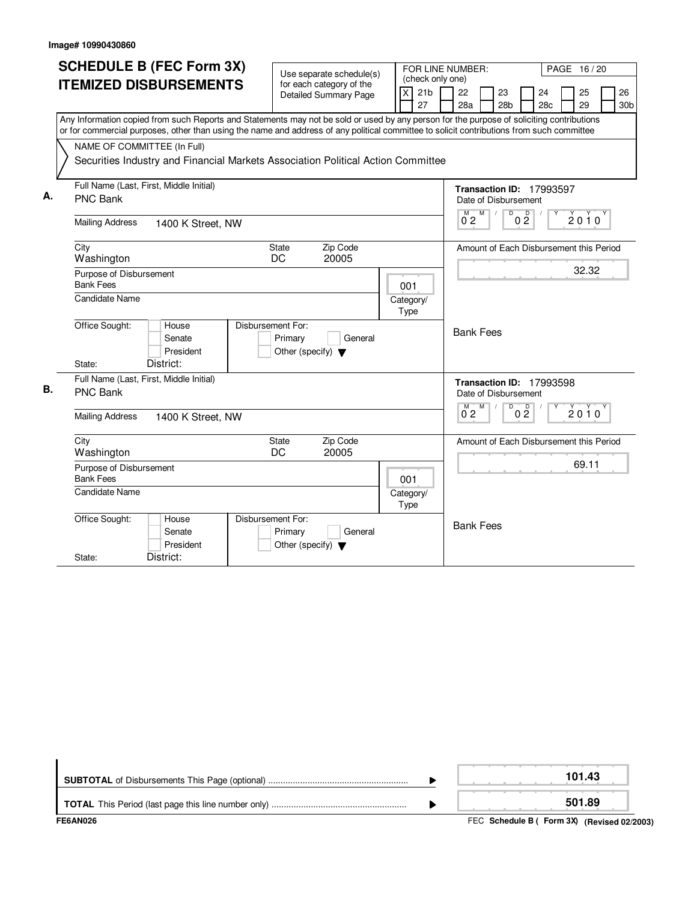| <b>SCHEDULE B (FEC Form 3X)</b><br>FOR LINE NUMBER:<br>Use separate schedule(s)<br>(check only one)                                       | PAGE 16/20                                                                |
|-------------------------------------------------------------------------------------------------------------------------------------------|---------------------------------------------------------------------------|
| <b>ITEMIZED DISBURSEMENTS</b><br>for each category of the<br>21 <sub>b</sub><br>X<br><b>Detailed Summary Page</b>                         | 22<br>26<br>23<br>24<br>25                                                |
| 27                                                                                                                                        | 29<br>28a<br>28 <sub>b</sub><br>28c<br>30 <sub>b</sub>                    |
| Any Information copied from such Reports and Statements may not be sold or used by any person for the purpose of soliciting contributions |                                                                           |
| or for commercial purposes, other than using the name and address of any political committee to solicit contributions from such committee |                                                                           |
| NAME OF COMMITTEE (In Full)                                                                                                               |                                                                           |
| Securities Industry and Financial Markets Association Political Action Committee                                                          |                                                                           |
|                                                                                                                                           |                                                                           |
| Full Name (Last, First, Middle Initial)<br>А.                                                                                             | Transaction ID: 17993597                                                  |
| PNC Bank                                                                                                                                  | Date of Disbursement                                                      |
| <b>Mailing Address</b><br>1400 K Street, NW                                                                                               | $M$ $M$ /<br>$\overline{D}$<br>0 <sup>0</sup><br>$2010^y$<br>$0^{\circ}2$ |
|                                                                                                                                           |                                                                           |
| Zip Code<br>City<br>State                                                                                                                 | Amount of Each Disbursement this Period                                   |
| Washington<br>DC<br>20005                                                                                                                 |                                                                           |
| Purpose of Disbursement                                                                                                                   | 32.32                                                                     |
| <b>Bank Fees</b><br>001                                                                                                                   |                                                                           |
| <b>Candidate Name</b><br>Category/<br>Type                                                                                                |                                                                           |
| Office Sought:<br>House<br>Disbursement For:                                                                                              |                                                                           |
| General<br>Senate<br>Primary                                                                                                              | <b>Bank Fees</b>                                                          |
| President<br>Other (specify) $\blacktriangledown$                                                                                         |                                                                           |
| District:<br>State:                                                                                                                       |                                                                           |
| Full Name (Last, First, Middle Initial)                                                                                                   | Transaction ID: 17993598                                                  |
| В.<br><b>PNC Bank</b>                                                                                                                     | Date of Disbursement                                                      |
|                                                                                                                                           | M<br>D<br>M<br>D<br>2010<br>0 <sub>2</sub><br>0 <sub>2</sub>              |
| <b>Mailing Address</b><br>1400 K Street, NW                                                                                               |                                                                           |
| City<br><b>State</b><br>Zip Code                                                                                                          | Amount of Each Disbursement this Period                                   |
| DC<br>20005<br>Washington                                                                                                                 |                                                                           |
| Purpose of Disbursement                                                                                                                   | 69.11                                                                     |
| <b>Bank Fees</b><br>001                                                                                                                   |                                                                           |
| Candidate Name<br>Category/                                                                                                               |                                                                           |
| Type                                                                                                                                      |                                                                           |
| Office Sought:<br>Disbursement For:<br>House                                                                                              | <b>Bank Fees</b>                                                          |
| Senate<br>General<br>Primary<br>President<br>Other (specify) $\blacktriangledown$                                                         |                                                                           |
| District:<br>State:                                                                                                                       |                                                                           |

| FE6AN026 | FEC Schedule B ( Form 3X) (Revised 02/2003) |
|----------|---------------------------------------------|
|          | 501.89                                      |
|          | 101.43                                      |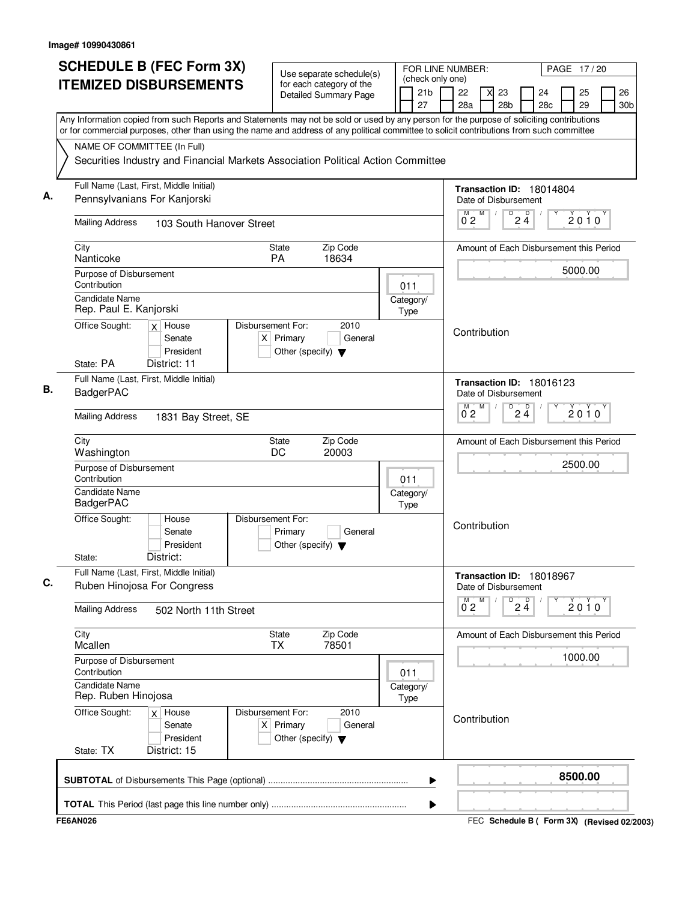| <b>SCHEDULE B (FEC Form 3X)</b>                                                                                                                                                                                                                                                        | Use separate schedule(s)                                                                    |                   |                                           | FOR LINE NUMBER:<br>PAGE 17/20          |                                                            |                 |                       |          |      |                       |  |  |  |  |
|----------------------------------------------------------------------------------------------------------------------------------------------------------------------------------------------------------------------------------------------------------------------------------------|---------------------------------------------------------------------------------------------|-------------------|-------------------------------------------|-----------------------------------------|------------------------------------------------------------|-----------------|-----------------------|----------|------|-----------------------|--|--|--|--|
| <b>ITEMIZED DISBURSEMENTS</b>                                                                                                                                                                                                                                                          | for each category of the<br><b>Detailed Summary Page</b>                                    |                   | (check only one)<br>21 <sub>b</sub><br>27 | 22<br>28a                               | 23<br>28 <sub>b</sub>                                      |                 | 24<br>28 <sub>c</sub> | 25<br>29 |      | 26<br>30 <sub>b</sub> |  |  |  |  |
| Any Information copied from such Reports and Statements may not be sold or used by any person for the purpose of soliciting contributions<br>or for commercial purposes, other than using the name and address of any political committee to solicit contributions from such committee |                                                                                             |                   |                                           |                                         |                                                            |                 |                       |          |      |                       |  |  |  |  |
| NAME OF COMMITTEE (In Full)                                                                                                                                                                                                                                                            |                                                                                             |                   |                                           |                                         |                                                            |                 |                       |          |      |                       |  |  |  |  |
| Securities Industry and Financial Markets Association Political Action Committee                                                                                                                                                                                                       |                                                                                             |                   |                                           |                                         |                                                            |                 |                       |          |      |                       |  |  |  |  |
| Full Name (Last, First, Middle Initial)                                                                                                                                                                                                                                                |                                                                                             |                   |                                           |                                         | Transaction ID: 18014804                                   |                 |                       |          |      |                       |  |  |  |  |
| Pennsylvanians For Kanjorski                                                                                                                                                                                                                                                           |                                                                                             |                   |                                           | Date of Disbursement<br>M               |                                                            |                 |                       |          |      |                       |  |  |  |  |
| <b>Mailing Address</b><br>103 South Hanover Street                                                                                                                                                                                                                                     |                                                                                             |                   |                                           | $0^{\degree}2$                          |                                                            | $\overline{24}$ |                       | 2010     |      |                       |  |  |  |  |
| City<br>Nanticoke                                                                                                                                                                                                                                                                      | Zip Code<br><b>State</b><br>PA<br>18634                                                     |                   |                                           | Amount of Each Disbursement this Period |                                                            |                 |                       |          |      |                       |  |  |  |  |
| Purpose of Disbursement                                                                                                                                                                                                                                                                |                                                                                             |                   |                                           |                                         |                                                            |                 |                       | 5000.00  |      |                       |  |  |  |  |
| Contribution<br><b>Candidate Name</b>                                                                                                                                                                                                                                                  |                                                                                             | 011               |                                           |                                         |                                                            |                 |                       |          |      |                       |  |  |  |  |
| Rep. Paul E. Kanjorski                                                                                                                                                                                                                                                                 |                                                                                             | Category/<br>Type |                                           |                                         |                                                            |                 |                       |          |      |                       |  |  |  |  |
| Office Sought:<br>$x$ House                                                                                                                                                                                                                                                            | Disbursement For:<br>2010                                                                   |                   |                                           |                                         | Contribution                                               |                 |                       |          |      |                       |  |  |  |  |
| Senate<br>President                                                                                                                                                                                                                                                                    | $X$ Primary<br>General<br>Other (specify) $\blacktriangledown$                              |                   |                                           |                                         |                                                            |                 |                       |          |      |                       |  |  |  |  |
| State: PA<br>District: 11                                                                                                                                                                                                                                                              |                                                                                             |                   |                                           |                                         |                                                            |                 |                       |          |      |                       |  |  |  |  |
| Full Name (Last, First, Middle Initial)                                                                                                                                                                                                                                                |                                                                                             |                   |                                           |                                         | Transaction ID: 18016123                                   |                 |                       |          |      |                       |  |  |  |  |
| <b>BadgerPAC</b>                                                                                                                                                                                                                                                                       |                                                                                             |                   |                                           |                                         | Date of Disbursement<br>M<br>D                             |                 |                       |          |      |                       |  |  |  |  |
| <b>Mailing Address</b><br>1831 Bay Street, SE                                                                                                                                                                                                                                          |                                                                                             |                   |                                           | $0^{\degree}2$                          |                                                            | $2\frac{D}{4}$  |                       | 2010     |      |                       |  |  |  |  |
| City<br>Washington                                                                                                                                                                                                                                                                     | Zip Code<br><b>State</b><br>DC<br>20003                                                     |                   |                                           |                                         | Amount of Each Disbursement this Period                    |                 |                       |          |      |                       |  |  |  |  |
| Purpose of Disbursement<br>Contribution                                                                                                                                                                                                                                                | 011                                                                                         |                   |                                           |                                         |                                                            |                 |                       |          |      |                       |  |  |  |  |
| <b>Candidate Name</b><br><b>BadgerPAC</b>                                                                                                                                                                                                                                              |                                                                                             | Category/<br>Type |                                           |                                         |                                                            |                 |                       |          |      |                       |  |  |  |  |
| Office Sought:<br>House<br>Senate<br>President<br>District:                                                                                                                                                                                                                            | Disbursement For:<br>Primary<br>General<br>Other (specify) $\blacktriangledown$             |                   |                                           | Contribution                            |                                                            |                 |                       |          |      |                       |  |  |  |  |
| State:<br>Full Name (Last, First, Middle Initial)                                                                                                                                                                                                                                      |                                                                                             |                   |                                           |                                         |                                                            |                 |                       |          |      |                       |  |  |  |  |
| Ruben Hinojosa For Congress                                                                                                                                                                                                                                                            |                                                                                             |                   |                                           |                                         | Transaction ID: 18018967<br>Date of Disbursement<br>M<br>D |                 |                       |          |      |                       |  |  |  |  |
| <b>Mailing Address</b><br>502 North 11th Street                                                                                                                                                                                                                                        |                                                                                             |                   |                                           | 0 <sub>2</sub>                          |                                                            | $2\frac{D}{4}$  |                       |          | 2010 |                       |  |  |  |  |
| City<br>Mcallen                                                                                                                                                                                                                                                                        | Zip Code<br>State<br>78501<br><b>TX</b>                                                     |                   |                                           |                                         | Amount of Each Disbursement this Period                    |                 |                       |          |      |                       |  |  |  |  |
| Purpose of Disbursement<br>Contribution                                                                                                                                                                                                                                                |                                                                                             | 011               |                                           |                                         |                                                            |                 |                       | 1000.00  |      |                       |  |  |  |  |
| <b>Candidate Name</b><br>Rep. Ruben Hinojosa                                                                                                                                                                                                                                           |                                                                                             | Category/<br>Type |                                           |                                         |                                                            |                 |                       |          |      |                       |  |  |  |  |
| Office Sought:<br>$x$ House<br>Senate<br>President<br>State: TX<br>District: 15                                                                                                                                                                                                        | Disbursement For:<br>2010<br>$X$ Primary<br>General<br>Other (specify) $\blacktriangledown$ |                   |                                           |                                         |                                                            |                 |                       |          |      |                       |  |  |  |  |
|                                                                                                                                                                                                                                                                                        |                                                                                             |                   | ▶                                         |                                         |                                                            |                 |                       | 8500.00  |      |                       |  |  |  |  |
|                                                                                                                                                                                                                                                                                        |                                                                                             |                   |                                           |                                         |                                                            |                 |                       |          |      |                       |  |  |  |  |
| <b>FE6AN026</b>                                                                                                                                                                                                                                                                        |                                                                                             |                   | ▶                                         |                                         | FEC Schedule B ( Form 3X) (Revised 02/2003)                |                 |                       |          |      |                       |  |  |  |  |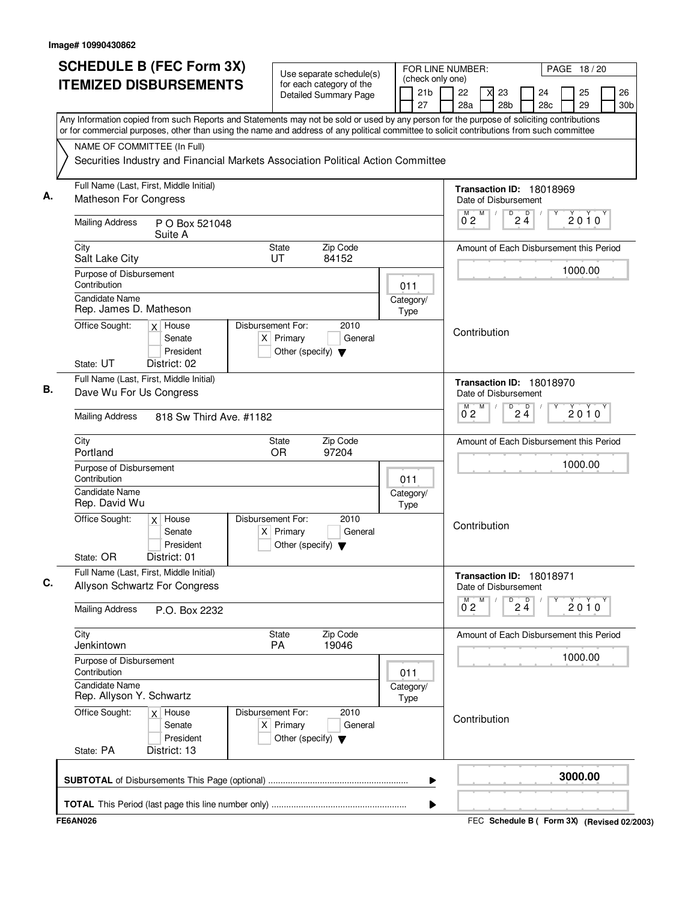| <b>ITEMIZED DISBURSEMENTS</b>                                                                                                                                                                                                                                                          | Use separate schedule(s)                                                         |                   |                   |                                                       |                           |                                                  |                | FOR LINE NUMBER:<br>PAGE 18/20<br>(check only one) |                                         |          |                       |  |  |  |  |
|----------------------------------------------------------------------------------------------------------------------------------------------------------------------------------------------------------------------------------------------------------------------------------------|----------------------------------------------------------------------------------|-------------------|-------------------|-------------------------------------------------------|---------------------------|--------------------------------------------------|----------------|----------------------------------------------------|-----------------------------------------|----------|-----------------------|--|--|--|--|
|                                                                                                                                                                                                                                                                                        | for each category of the<br><b>Detailed Summary Page</b>                         |                   |                   |                                                       |                           | 23<br>28 <sub>b</sub>                            |                | 24<br>28 <sub>c</sub>                              | 25<br>29                                |          | 26<br>30 <sub>b</sub> |  |  |  |  |
| Any Information copied from such Reports and Statements may not be sold or used by any person for the purpose of soliciting contributions<br>or for commercial purposes, other than using the name and address of any political committee to solicit contributions from such committee |                                                                                  |                   |                   |                                                       |                           |                                                  |                |                                                    |                                         |          |                       |  |  |  |  |
| NAME OF COMMITTEE (In Full)                                                                                                                                                                                                                                                            |                                                                                  |                   |                   |                                                       |                           |                                                  |                |                                                    |                                         |          |                       |  |  |  |  |
|                                                                                                                                                                                                                                                                                        | Securities Industry and Financial Markets Association Political Action Committee |                   |                   |                                                       |                           |                                                  |                |                                                    |                                         |          |                       |  |  |  |  |
| Full Name (Last, First, Middle Initial)<br>Matheson For Congress                                                                                                                                                                                                                       |                                                                                  |                   |                   | Transaction ID: 18018969<br>Date of Disbursement<br>M |                           |                                                  |                |                                                    |                                         |          |                       |  |  |  |  |
| <b>Mailing Address</b><br>P O Box 521048<br>Suite A                                                                                                                                                                                                                                    |                                                                                  |                   | M<br>$0^{\circ}2$ |                                                       | $\overline{24}$           |                                                  |                | $2010^y$                                           |                                         |          |                       |  |  |  |  |
| City<br>State<br><b>UT</b><br>Salt Lake City                                                                                                                                                                                                                                           | Zip Code<br>84152                                                                |                   |                   | Amount of Each Disbursement this Period               |                           |                                                  |                |                                                    |                                         |          |                       |  |  |  |  |
| Purpose of Disbursement<br>Contribution                                                                                                                                                                                                                                                |                                                                                  |                   |                   |                                                       |                           |                                                  |                |                                                    | 1000.00                                 |          |                       |  |  |  |  |
| Candidate Name<br>Rep. James D. Matheson                                                                                                                                                                                                                                               | 011<br>Category/<br>Type                                                         |                   |                   |                                                       |                           |                                                  |                |                                                    |                                         |          |                       |  |  |  |  |
| Office Sought:<br>Disbursement For:<br>$x$ House<br>$X$ Primary<br>Senate<br>President<br>Other (specify) $\blacktriangledown$<br>State: UT<br>District: 02                                                                                                                            | 2010<br>General                                                                  |                   |                   | Contribution                                          |                           |                                                  |                |                                                    |                                         |          |                       |  |  |  |  |
| Full Name (Last, First, Middle Initial)<br>Dave Wu For Us Congress                                                                                                                                                                                                                     |                                                                                  |                   |                   |                                                       |                           | Transaction ID: 18018970<br>Date of Disbursement |                |                                                    |                                         |          |                       |  |  |  |  |
| <b>Mailing Address</b><br>818 Sw Third Ave. #1182                                                                                                                                                                                                                                      |                                                                                  |                   |                   |                                                       | М<br>$0^{\circ}2$         | M<br>D                                           | $2\frac{D}{4}$ |                                                    |                                         | $2010^y$ |                       |  |  |  |  |
| City<br>State<br><b>OR</b><br>Portland                                                                                                                                                                                                                                                 | Zip Code<br>97204                                                                |                   |                   |                                                       |                           |                                                  |                |                                                    | Amount of Each Disbursement this Period |          |                       |  |  |  |  |
| Purpose of Disbursement<br>Contribution                                                                                                                                                                                                                                                |                                                                                  | 011               |                   |                                                       |                           |                                                  |                |                                                    | 1000.00                                 |          |                       |  |  |  |  |
| Candidate Name<br>Rep. David Wu                                                                                                                                                                                                                                                        |                                                                                  | Category/<br>Type |                   |                                                       |                           |                                                  |                |                                                    |                                         |          |                       |  |  |  |  |
| Disbursement For:<br>Office Sought:<br>$x$ House<br>Senate<br>$X$ Primary<br>President<br>Other (specify) $\blacktriangledown$<br>District: 01<br>State: OR                                                                                                                            | 2010<br>General                                                                  |                   |                   | Contribution                                          |                           |                                                  |                |                                                    |                                         |          |                       |  |  |  |  |
| Full Name (Last, First, Middle Initial)<br>Allyson Schwartz For Congress                                                                                                                                                                                                               |                                                                                  |                   |                   |                                                       |                           | Transaction ID: 18018971<br>Date of Disbursement |                |                                                    |                                         |          |                       |  |  |  |  |
| <b>Mailing Address</b><br>P.O. Box 2232                                                                                                                                                                                                                                                |                                                                                  |                   |                   |                                                       | $0^{M}$ <sub>2</sub><br>Μ | D                                                | $2\frac{D}{4}$ |                                                    | 2010                                    |          |                       |  |  |  |  |
| City<br><b>State</b><br>Jenkintown<br>PA                                                                                                                                                                                                                                               | Zip Code<br>19046                                                                |                   |                   |                                                       |                           | Amount of Each Disbursement this Period          |                |                                                    |                                         |          |                       |  |  |  |  |
| Purpose of Disbursement<br>Contribution                                                                                                                                                                                                                                                |                                                                                  | 011               |                   |                                                       |                           |                                                  |                |                                                    | 1000.00                                 |          |                       |  |  |  |  |
| <b>Candidate Name</b><br>Rep. Allyson Y. Schwartz                                                                                                                                                                                                                                      |                                                                                  | Category/<br>Type |                   |                                                       |                           |                                                  |                |                                                    |                                         |          |                       |  |  |  |  |
| Office Sought:<br>Disbursement For:<br>$x \mid$ House<br>$X$ Primary<br>Senate<br>President<br>Other (specify) $\blacktriangledown$<br>State: PA<br>District: 13                                                                                                                       | 2010<br>General                                                                  |                   |                   |                                                       |                           | Contribution                                     |                |                                                    |                                         |          |                       |  |  |  |  |
|                                                                                                                                                                                                                                                                                        |                                                                                  |                   | ▶                 |                                                       |                           |                                                  |                |                                                    | 3000.00                                 |          |                       |  |  |  |  |
|                                                                                                                                                                                                                                                                                        |                                                                                  |                   | ▶                 |                                                       |                           |                                                  |                |                                                    |                                         |          |                       |  |  |  |  |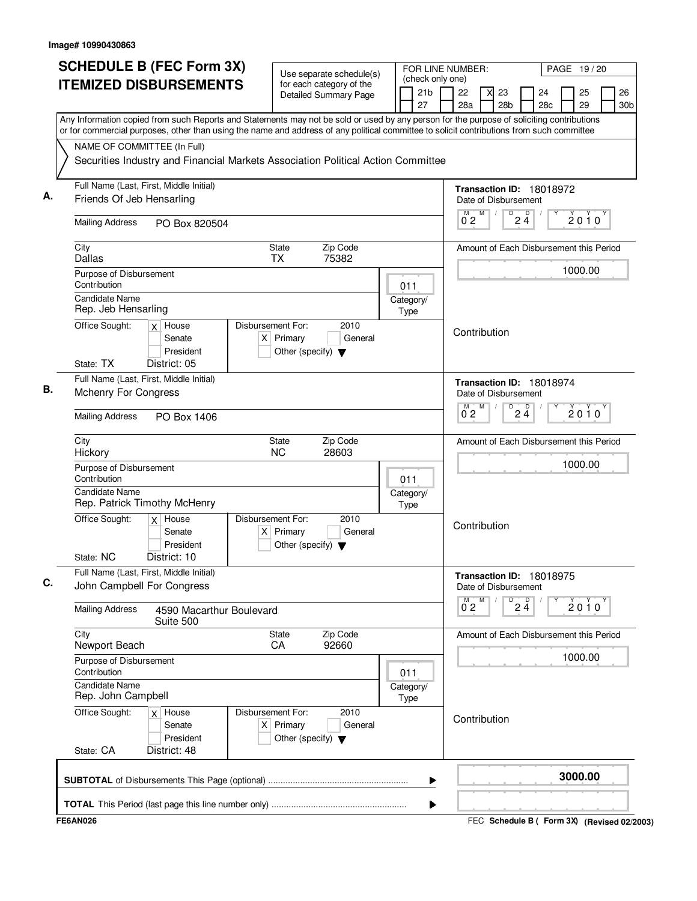| <b>SCHEDULE B (FEC Form 3X)</b>                                                                                                                                                                                                                                                        | Use separate schedule(s)                                                                    |              |                                           | FOR LINE NUMBER:<br>PAGE 19/20                      |                                                  |                |                       |          |                                         |                       |  |  |  |  |
|----------------------------------------------------------------------------------------------------------------------------------------------------------------------------------------------------------------------------------------------------------------------------------------|---------------------------------------------------------------------------------------------|--------------|-------------------------------------------|-----------------------------------------------------|--------------------------------------------------|----------------|-----------------------|----------|-----------------------------------------|-----------------------|--|--|--|--|
| <b>ITEMIZED DISBURSEMENTS</b>                                                                                                                                                                                                                                                          | for each category of the<br><b>Detailed Summary Page</b>                                    |              | (check only one)<br>21 <sub>b</sub><br>27 | 22<br>28a                                           | 23<br>28 <sub>b</sub>                            |                | 24<br>28 <sub>c</sub> | 25<br>29 |                                         | 26<br>30 <sub>b</sub> |  |  |  |  |
| Any Information copied from such Reports and Statements may not be sold or used by any person for the purpose of soliciting contributions<br>or for commercial purposes, other than using the name and address of any political committee to solicit contributions from such committee |                                                                                             |              |                                           |                                                     |                                                  |                |                       |          |                                         |                       |  |  |  |  |
| NAME OF COMMITTEE (In Full)                                                                                                                                                                                                                                                            |                                                                                             |              |                                           |                                                     |                                                  |                |                       |          |                                         |                       |  |  |  |  |
|                                                                                                                                                                                                                                                                                        | Securities Industry and Financial Markets Association Political Action Committee            |              |                                           |                                                     |                                                  |                |                       |          |                                         |                       |  |  |  |  |
| Full Name (Last, First, Middle Initial)<br>Friends Of Jeb Hensarling                                                                                                                                                                                                                   |                                                                                             |              |                                           | Transaction ID: 18018972<br>Date of Disbursement    |                                                  |                |                       |          |                                         |                       |  |  |  |  |
| <b>Mailing Address</b>                                                                                                                                                                                                                                                                 |                                                                                             |              |                                           | M<br>D<br>D<br>2010<br>$2\bar{4}$<br>0 <sub>2</sub> |                                                  |                |                       |          |                                         |                       |  |  |  |  |
| PO Box 820504                                                                                                                                                                                                                                                                          |                                                                                             |              |                                           |                                                     |                                                  |                |                       |          |                                         |                       |  |  |  |  |
| City<br>Dallas                                                                                                                                                                                                                                                                         | Zip Code<br>State<br><b>TX</b><br>75382                                                     |              |                                           |                                                     | Amount of Each Disbursement this Period          |                |                       |          |                                         |                       |  |  |  |  |
| Purpose of Disbursement<br>Contribution                                                                                                                                                                                                                                                |                                                                                             |              | 011                                       |                                                     |                                                  |                |                       | 1000.00  |                                         |                       |  |  |  |  |
| <b>Candidate Name</b><br>Rep. Jeb Hensarling                                                                                                                                                                                                                                           |                                                                                             |              | Category/<br>Type                         |                                                     |                                                  |                |                       |          |                                         |                       |  |  |  |  |
| Office Sought:<br>Disbursement For:<br>$x$ House<br>$X$ Primary<br>Senate<br>President                                                                                                                                                                                                 |                                                                                             | Contribution |                                           |                                                     |                                                  |                |                       |          |                                         |                       |  |  |  |  |
| State: TX<br>District: 05                                                                                                                                                                                                                                                              |                                                                                             |              |                                           |                                                     |                                                  |                |                       |          |                                         |                       |  |  |  |  |
| Full Name (Last, First, Middle Initial)<br><b>Mchenry For Congress</b>                                                                                                                                                                                                                 |                                                                                             |              |                                           |                                                     | Transaction ID: 18018974<br>Date of Disbursement |                |                       |          |                                         |                       |  |  |  |  |
| <b>Mailing Address</b><br>PO Box 1406                                                                                                                                                                                                                                                  |                                                                                             |              |                                           | $0^{\circ}2$                                        | M<br>D                                           | $2\frac{D}{4}$ |                       | 2010     |                                         |                       |  |  |  |  |
| City<br>Hickory                                                                                                                                                                                                                                                                        | Zip Code<br><b>State</b><br><b>NC</b><br>28603                                              |              |                                           |                                                     |                                                  |                |                       |          | Amount of Each Disbursement this Period |                       |  |  |  |  |
| Purpose of Disbursement<br>Contribution                                                                                                                                                                                                                                                |                                                                                             |              | 011                                       |                                                     |                                                  |                |                       | 1000.00  |                                         |                       |  |  |  |  |
| Candidate Name<br>Rep. Patrick Timothy McHenry                                                                                                                                                                                                                                         |                                                                                             |              | Category/<br>Type                         |                                                     |                                                  |                |                       |          |                                         |                       |  |  |  |  |
| $x$ House<br>Office Sought:<br>Senate<br>President<br>District: 10<br>State: NC                                                                                                                                                                                                        | Disbursement For:<br>2010<br>$X$ Primary<br>General<br>Other (specify) $\blacktriangledown$ |              |                                           |                                                     | Contribution                                     |                |                       |          |                                         |                       |  |  |  |  |
| Full Name (Last, First, Middle Initial)<br>John Campbell For Congress                                                                                                                                                                                                                  |                                                                                             |              |                                           | Transaction ID: 18018975<br>Date of Disbursement    |                                                  |                |                       |          |                                         |                       |  |  |  |  |
| <b>Mailing Address</b><br>4590 Macarthur Boulevard<br>Suite 500                                                                                                                                                                                                                        |                                                                                             |              |                                           | $0^{\text{M}}$ 2                                    | М<br>D                                           | $2\frac{D}{4}$ |                       | $2010^y$ |                                         |                       |  |  |  |  |
| City<br>Newport Beach                                                                                                                                                                                                                                                                  | Zip Code<br><b>State</b><br>92660<br>CA                                                     |              |                                           |                                                     | Amount of Each Disbursement this Period          |                |                       |          |                                         |                       |  |  |  |  |
| Purpose of Disbursement<br>Contribution                                                                                                                                                                                                                                                |                                                                                             |              | 011                                       |                                                     |                                                  |                |                       | 1000.00  |                                         |                       |  |  |  |  |
| Candidate Name<br>Rep. John Campbell                                                                                                                                                                                                                                                   |                                                                                             |              | Category/<br>Type                         |                                                     |                                                  |                |                       |          |                                         |                       |  |  |  |  |
| Office Sought:<br>$x$ House<br>Senate<br>President<br>State: CA<br>District: 48                                                                                                                                                                                                        | Disbursement For:<br>2010<br>$X$ Primary<br>General<br>Other (specify) $\blacktriangledown$ |              |                                           |                                                     | Contribution                                     |                |                       |          |                                         |                       |  |  |  |  |
|                                                                                                                                                                                                                                                                                        |                                                                                             |              | ▶                                         |                                                     |                                                  |                |                       | 3000.00  |                                         |                       |  |  |  |  |
|                                                                                                                                                                                                                                                                                        |                                                                                             |              | ▶                                         |                                                     |                                                  |                |                       |          |                                         |                       |  |  |  |  |
| <b>FE6AN026</b>                                                                                                                                                                                                                                                                        |                                                                                             |              |                                           |                                                     | FEC Schedule B ( Form 3X) (Revised 02/2003)      |                |                       |          |                                         |                       |  |  |  |  |